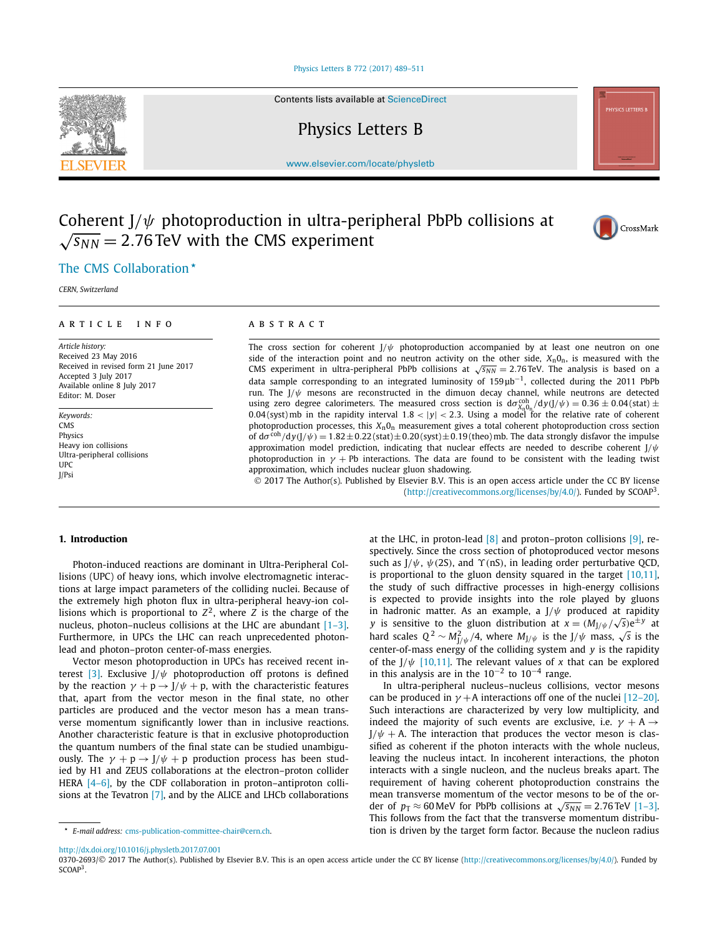#### [Physics Letters B 772 \(2017\) 489–511](http://dx.doi.org/10.1016/j.physletb.2017.07.001)

Contents lists available at [ScienceDirect](http://www.ScienceDirect.com/)

Physics Letters B

[www.elsevier.com/locate/physletb](http://www.elsevier.com/locate/physletb)

# Coherent J*/ψ* photoproduction in ultra-peripheral PbPb collisions at  $\sqrt{s_{NN}}$  = 2.76 TeV with the CMS experiment

# The CMS [Collaboration](#page-7-0)\*

*CERN, Switzerland*

#### A R T I C L E I N F O A B S T R A C T

*Article history:* Received 23 May 2016 Received in revised form 21 June 2017 Accepted 3 July 2017 Available online 8 July 2017 Editor: M. Doser

*Keywords:* CMS Physics Heavy ion collisions Ultra-peripheral collisions UPC J/Psi

The cross section for coherent J*/ψ* photoproduction accompanied by at least one neutron on one side of the interaction point and no neutron activity on the other side,  $X_n0_n$ , is measured with the CMS experiment in ultra-peripheral PbPb collisions at  $\sqrt{s_{NN}} = 2.76$  TeV. The analysis is based on a data sample corresponding to an integrated luminosity of 159 μb<sup>−</sup>1, collected during the 2011 PbPb run. The J*/ψ* mesons are reconstructed in the dimuon decay channel, while neutrons are detected using zero degree calorimeters. The measured cross section is  $d\sigma_{X_n0_n}^{\text{coh}}/dy(J/\psi) = 0.36 \pm 0.04 \text{(stat)} \pm 0.02$ 0.04 (syst) mb in the rapidity interval  $1.8 < |y| < 2.3$ . Using a model for the relative rate of coherent photoproduction processes, this  $X_n0_n$  measurement gives a total coherent photoproduction cross section of  $d\sigma^{coh}/dy$  ( $J/\psi$ ) = 1.82 ± 0.22 (stat)±0.20 (syst)±0.19 (theo) mb. The data strongly disfavor the impulse approximation model prediction, indicating that nuclear effects are needed to describe coherent J*/ψ* photoproduction in  $\gamma$  + Pb interactions. The data are found to be consistent with the leading twist approximation, which includes nuclear gluon shadowing.

© 2017 The Author(s). Published by Elsevier B.V. This is an open access article under the CC BY license [\(http://creativecommons.org/licenses/by/4.0/\)](http://creativecommons.org/licenses/by/4.0/). Funded by  $SCOAP<sup>3</sup>$ .

#### **1. Introduction**

Photon-induced reactions are dominant in Ultra-Peripheral Collisions (UPC) of heavy ions, which involve electromagnetic interactions at large impact parameters of the colliding nuclei. Because of the extremely high photon flux in ultra-peripheral heavy-ion collisions which is proportional to  $Z^2$ , where  $Z$  is the charge of the nucleus, photon–nucleus collisions at the LHC are abundant [\[1–3\].](#page-6-0) Furthermore, in UPCs the LHC can reach unprecedented photonlead and photon–proton center-of-mass energies.

Vector meson photoproduction in UPCs has received recent in-terest [\[3\].](#page-6-0) Exclusive  $J/\psi$  photoproduction off protons is defined by the reaction  $\gamma + p \rightarrow J/\psi + p$ , with the characteristic features that, apart from the vector meson in the final state, no other particles are produced and the vector meson has a mean transverse momentum significantly lower than in inclusive reactions. Another characteristic feature is that in exclusive photoproduction the quantum numbers of the final state can be studied unambiguously. The  $\gamma + p \rightarrow J/\psi + p$  production process has been studied by H1 and ZEUS collaborations at the electron–proton collider HERA [\[4–6\],](#page-6-0) by the CDF collaboration in proton–antiproton collisions at the Tevatron [\[7\],](#page-6-0) and by the ALICE and LHCb collaborations at the LHC, in proton-lead  $[8]$  and proton–proton collisions  $[9]$ , respectively. Since the cross section of photoproduced vector mesons such as J*/ψ*, *ψ(*2S*)*, and *ϒ(*nS*)*, in leading order perturbative QCD, is proportional to the gluon density squared in the target  $[10,11]$ , the study of such diffractive processes in high-energy collisions is expected to provide insights into the role played by gluons in hadronic matter. As an example, a J*/ψ* produced at rapidity *y* is sensitive to the gluon distribution at  $x = (M_J/\psi/\sqrt{s})e^{\pm y}$  at  $\lim_{M \to \infty} \frac{d}{dx} \log Q^2 \sim M_{\frac{1}{2} / \psi}^2 / 4$ , where  $M_{\frac{1}{2} / \psi}$  is the  $\frac{1}{2} / \psi$  mass,  $\sqrt{s}$  is the center-of-mass energy of the colliding system and *y* is the rapidity of the  $J/\psi$  [\[10,11\].](#page-6-0) The relevant values of *x* that can be explored in this analysis are in the  $10^{-2}$  to  $10^{-4}$  range.

In ultra-peripheral nucleus–nucleus collisions, vector mesons can be produced in  $\gamma$  + A interactions off one of the nuclei [\[12–20\].](#page-6-0) Such interactions are characterized by very low multiplicity, and indeed the majority of such events are exclusive, i.e.  $\gamma + A \rightarrow$  $J/\psi + A$ . The interaction that produces the vector meson is classified as coherent if the photon interacts with the whole nucleus, leaving the nucleus intact. In incoherent interactions, the photon interacts with a single nucleon, and the nucleus breaks apart. The requirement of having coherent photoproduction constrains the mean transverse momentum of the vector mesons to be of the order of  $p_T \approx 60$  MeV for PbPb collisions at  $\sqrt{s_{NN}} = 2.76$  TeV [\[1–3\].](#page-6-0) This follows from the fact that the transverse momentum distribution is driven by the target form factor. Because the nucleon radius

<span id="page-0-0"></span>



CrossMark

*E-mail address:* [cms-publication-committee-chair@cern.ch](mailto:cms-publication-committee-chair@cern.ch).

<http://dx.doi.org/10.1016/j.physletb.2017.07.001>

<sup>0370-2693/© 2017</sup> The Author(s). Published by Elsevier B.V. This is an open access article under the CC BY license [\(http://creativecommons.org/licenses/by/4.0/](http://creativecommons.org/licenses/by/4.0/)). Funded by SCOAP<sup>3</sup>.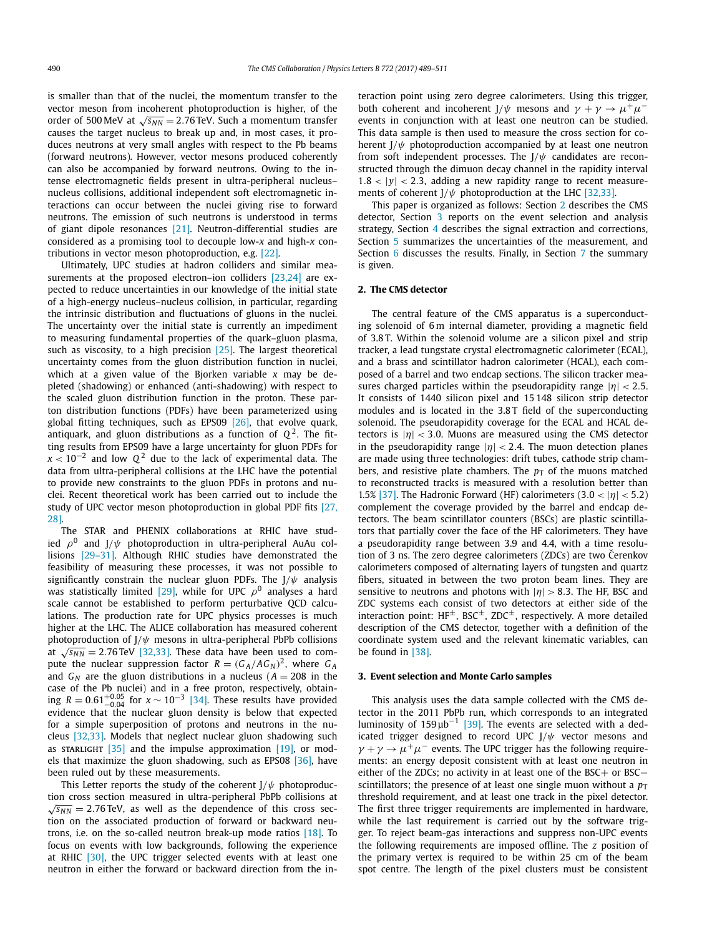<span id="page-1-0"></span>is smaller than that of the nuclei, the momentum transfer to the vector meson from incoherent photoproduction is higher, of the order of 500 MeV at  $\sqrt{s_{NN}}$  = 2.76 TeV. Such a momentum transfer causes the target nucleus to break up and, in most cases, it produces neutrons at very small angles with respect to the Pb beams (forward neutrons). However, vector mesons produced coherently can also be accompanied by forward neutrons. Owing to the intense electromagnetic fields present in ultra-peripheral nucleus– nucleus collisions, additional independent soft electromagnetic interactions can occur between the nuclei giving rise to forward neutrons. The emission of such neutrons is understood in terms of giant dipole resonances [\[21\].](#page-6-0) Neutron-differential studies are considered as a promising tool to decouple low-*x* and high-*x* contributions in vector meson photoproduction, e.g. [\[22\].](#page-6-0)

Ultimately, UPC studies at hadron colliders and similar mea-surements at the proposed electron–ion colliders [\[23,24\]](#page-6-0) are expected to reduce uncertainties in our knowledge of the initial state of a high-energy nucleus–nucleus collision, in particular, regarding the intrinsic distribution and fluctuations of gluons in the nuclei. The uncertainty over the initial state is currently an impediment to measuring fundamental properties of the quark–gluon plasma, such as viscosity, to a high precision  $[25]$ . The largest theoretical uncertainty comes from the gluon distribution function in nuclei, which at a given value of the Bjorken variable *x* may be depleted (shadowing) or enhanced (anti-shadowing) with respect to the scaled gluon distribution function in the proton. These parton distribution functions (PDFs) have been parameterized using global fitting techniques, such as EPS09  $[26]$ , that evolve quark, antiquark, and gluon distributions as a function of  $Q<sup>2</sup>$ . The fitting results from EPS09 have a large uncertainty for gluon PDFs for  $x < 10^{-2}$  and low  $Q<sup>2</sup>$  due to the lack of experimental data. The data from ultra-peripheral collisions at the LHC have the potential to provide new constraints to the gluon PDFs in protons and nuclei. Recent theoretical work has been carried out to include the study of UPC vector meson photoproduction in global PDF fits [\[27,](#page-6-0) [28\].](#page-6-0)

The STAR and PHENIX collaborations at RHIC have studied  $\rho^0$  and  $J/\psi$  photoproduction in ultra-peripheral AuAu collisions [\[29–31\].](#page-6-0) Although RHIC studies have demonstrated the feasibility of measuring these processes, it was not possible to significantly constrain the nuclear gluon PDFs. The J*/ψ* analysis was statistically limited [\[29\],](#page-6-0) while for UPC  $\rho^0$  analyses a hard scale cannot be established to perform perturbative QCD calculations. The production rate for UPC physics processes is much higher at the LHC. The ALICE collaboration has measured coherent photoproduction of J*/ψ* mesons in ultra-peripheral PbPb collisions at  $\sqrt{s_{NN}}$  = 2.76 TeV [\[32,33\].](#page-6-0) These data have been used to compute the nuclear suppression factor  $R = (G_A / AG_N)^2$ , where  $G_A$ and  $G_N$  are the gluon distributions in a nucleus ( $A = 208$  in the case of the Pb nuclei) and in a free proton, respectively, obtaining  $R = 0.61_{-0.04}^{+0.05}$  for  $x \sim 10^{-3}$  [\[34\].](#page-6-0) These results have provided using the total problem provided evidence that the nuclear gluon density is below that expected for a simple superposition of protons and neutrons in the nucleus [\[32,33\].](#page-6-0) Models that neglect nuclear gluon shadowing such as star and  $[35]$  and the impulse approximation  $[19]$ , or models that maximize the gluon shadowing, such as EPS08 [\[36\],](#page-6-0) have been ruled out by these measurements.

This Letter reports the study of the coherent J*/ψ* photoproduction cross section measured in ultra-peripheral PbPb collisions at  $\sqrt{s_{NN}}$  = 2.76 TeV, as well as the dependence of this cross section on the associated production of forward or backward neutrons, i.e. on the so-called neutron break-up mode ratios [\[18\].](#page-6-0) To focus on events with low backgrounds, following the experience at RHIC [\[30\],](#page-6-0) the UPC trigger selected events with at least one neutron in either the forward or backward direction from the interaction point using zero degree calorimeters. Using this trigger, both coherent and incoherent J/ $\psi$  mesons and  $\gamma + \gamma \rightarrow \mu^+ \mu^$ events in conjunction with at least one neutron can be studied. This data sample is then used to measure the cross section for coherent J*/ψ* photoproduction accompanied by at least one neutron from soft independent processes. The J*/ψ* candidates are reconstructed through the dimuon decay channel in the rapidity interval  $1.8 < |y| < 2.3$ , adding a new rapidity range to recent measurements of coherent J*/ψ* photoproduction at the LHC [\[32,33\].](#page-6-0)

This paper is organized as follows: Section 2 describes the CMS detector, Section 3 reports on the event selection and analysis strategy, Section [4](#page-2-0) describes the signal extraction and corrections, Section [5](#page-3-0) summarizes the uncertainties of the measurement, and Section [6](#page-4-0) discusses the results. Finally, in Section [7](#page-5-0) the summary is given.

#### **2. The CMS detector**

The central feature of the CMS apparatus is a superconducting solenoid of 6 m internal diameter, providing a magnetic field of 3.8 T. Within the solenoid volume are a silicon pixel and strip tracker, a lead tungstate crystal electromagnetic calorimeter (ECAL), and a brass and scintillator hadron calorimeter (HCAL), each composed of a barrel and two endcap sections. The silicon tracker measures charged particles within the pseudorapidity range |*η*| *<* <sup>2</sup>*.*5. It consists of 1440 silicon pixel and 15 148 silicon strip detector modules and is located in the 3.8T field of the superconducting solenoid. The pseudorapidity coverage for the ECAL and HCAL detectors is  $|\eta|$  < 3.0. Muons are measured using the CMS detector in the pseudorapidity range  $|\eta|$  < 2.4. The muon detection planes are made using three technologies: drift tubes, cathode strip chambers, and resistive plate chambers. The  $p<sub>T</sub>$  of the muons matched to reconstructed tracks is measured with a resolution better than 1.5% [\[37\].](#page-6-0) The Hadronic Forward (HF) calorimeters  $(3.0 < |\eta| < 5.2)$ complement the coverage provided by the barrel and endcap detectors. The beam scintillator counters (BSCs) are plastic scintillators that partially cover the face of the HF calorimeters. They have a pseudorapidity range between 3.9 and 4.4, with a time resolution of 3 ns. The zero degree calorimeters (ZDCs) are two Cerenkov calorimeters composed of alternating layers of tungsten and quartz fibers, situated in between the two proton beam lines. They are sensitive to neutrons and photons with  $|\eta| > 8.3$ . The HF, BSC and ZDC systems each consist of two detectors at either side of the interaction point:  $HF^{\pm}$ , BSC<sup> $\pm$ </sup>, ZDC<sup> $\pm$ </sup>, respectively. A more detailed description of the CMS detector, together with a definition of the coordinate system used and the relevant kinematic variables, can be found in [\[38\].](#page-6-0)

#### **3. Event selection and Monte Carlo samples**

This analysis uses the data sample collected with the CMS detector in the 2011 PbPb run, which corresponds to an integrated luminosity of  $159 \mu b^{-1}$  [\[39\].](#page-7-0) The events are selected with a dedicated trigger designed to record UPC J*/ψ* vector mesons and  $\gamma + \gamma \rightarrow \mu^+ \mu^-$  events. The UPC trigger has the following requirements: an energy deposit consistent with at least one neutron in either of the ZDCs; no activity in at least one of the BSC+ or BSC− scintillators; the presence of at least one single muon without a  $p<sub>T</sub>$ threshold requirement, and at least one track in the pixel detector. The first three trigger requirements are implemented in hardware, while the last requirement is carried out by the software trigger. To reject beam-gas interactions and suppress non-UPC events the following requirements are imposed offline. The *z* position of the primary vertex is required to be within 25 cm of the beam spot centre. The length of the pixel clusters must be consistent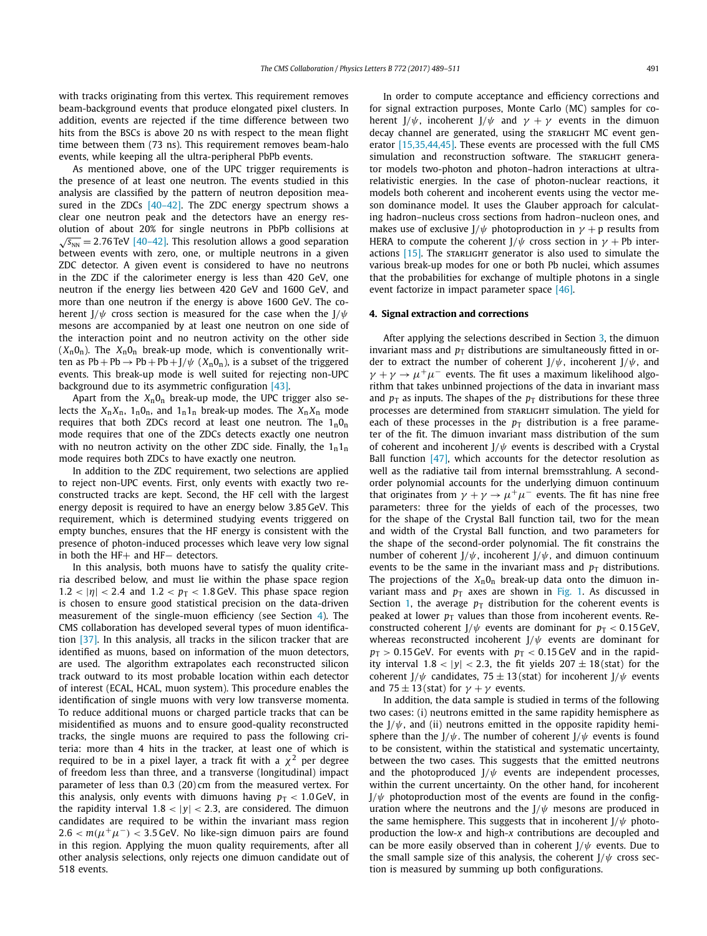<span id="page-2-0"></span>with tracks originating from this vertex. This requirement removes beam-background events that produce elongated pixel clusters. In addition, events are rejected if the time difference between two hits from the BSCs is above 20 ns with respect to the mean flight time between them (73 ns). This requirement removes beam-halo events, while keeping all the ultra-peripheral PbPb events.

As mentioned above, one of the UPC trigger requirements is the presence of at least one neutron. The events studied in this analysis are classified by the pattern of neutron deposition measured in the ZDCs  $[40-42]$ . The ZDC energy spectrum shows a clear one neutron peak and the detectors have an energy resolution of about 20% for single neutrons in PbPb collisions at  $\sqrt{s_{NN}}$  = 2.76 TeV [\[40–42\].](#page-7-0) This resolution allows a good separation between events with zero, one, or multiple neutrons in a given ZDC detector. A given event is considered to have no neutrons in the ZDC if the calorimeter energy is less than 420 GeV, one neutron if the energy lies between 420 GeV and 1600 GeV, and more than one neutron if the energy is above 1600 GeV. The coherent J*/ψ* cross section is measured for the case when the J*/ψ* mesons are accompanied by at least one neutron on one side of the interaction point and no neutron activity on the other side  $(X_n 0_n)$ . The  $X_n 0_n$  break-up mode, which is conventionally written as  $Pb + Pb \rightarrow Pb + Pb + J/\psi$  ( $X_n \Omega_n$ ), is a subset of the triggered events. This break-up mode is well suited for rejecting non-UPC background due to its asymmetric configuration [\[43\].](#page-7-0)

Apart from the  $X_n0_n$  break-up mode, the UPC trigger also selects the  $X_n X_n$ ,  $1_n 0_n$ , and  $1_n 1_n$  break-up modes. The  $X_n X_n$  mode requires that both ZDCs record at least one neutron. The  $1_n0_n$ mode requires that one of the ZDCs detects exactly one neutron with no neutron activity on the other ZDC side. Finally, the  $1_n1_n$ mode requires both ZDCs to have exactly one neutron.

In addition to the ZDC requirement, two selections are applied to reject non-UPC events. First, only events with exactly two reconstructed tracks are kept. Second, the HF cell with the largest energy deposit is required to have an energy below 3.85 GeV. This requirement, which is determined studying events triggered on empty bunches, ensures that the HF energy is consistent with the presence of photon-induced processes which leave very low signal in both the HF+ and HF− detectors.

In this analysis, both muons have to satisfy the quality criteria described below, and must lie within the phase space region  $1.2 < |η| < 2.4$  and  $1.2 < p<sub>T</sub> < 1.8$  GeV. This phase space region is chosen to ensure good statistical precision on the data-driven measurement of the single-muon efficiency (see Section 4). The CMS collaboration has developed several types of muon identification [\[37\].](#page-6-0) In this analysis, all tracks in the silicon tracker that are identified as muons, based on information of the muon detectors, are used. The algorithm extrapolates each reconstructed silicon track outward to its most probable location within each detector of interest (ECAL, HCAL, muon system). This procedure enables the identification of single muons with very low transverse momenta. To reduce additional muons or charged particle tracks that can be misidentified as muons and to ensure good-quality reconstructed tracks, the single muons are required to pass the following criteria: more than 4 hits in the tracker, at least one of which is required to be in a pixel layer, a track fit with a  $\chi^2$  per degree of freedom less than three, and a transverse (longitudinal) impact parameter of less than 0.3 (20) cm from the measured vertex. For this analysis, only events with dimuons having  $p_T < 1.0$  GeV, in the rapidity interval  $1.8 < |y| < 2.3$ , are considered. The dimuon candidates are required to be within the invariant mass region  $2.6 < m(\mu^+\mu^-) < 3.5$  GeV. No like-sign dimuon pairs are found in this region. Applying the muon quality requirements, after all other analysis selections, only rejects one dimuon candidate out of 518 events.

In order to compute acceptance and efficiency corrections and for signal extraction purposes, Monte Carlo (MC) samples for coherent  $J/\psi$ , incoherent  $J/\psi$  and  $\gamma + \gamma$  events in the dimuon decay channel are generated, using the STARLIGHT MC event generator [\[15,35,44,45\].](#page-6-0) These events are processed with the full CMS simulation and reconstruction software. The STARLIGHT generator models two-photon and photon–hadron interactions at ultrarelativistic energies. In the case of photon-nuclear reactions, it models both coherent and incoherent events using the vector meson dominance model. It uses the Glauber approach for calculating hadron–nucleus cross sections from hadron–nucleon ones, and makes use of exclusive  $J/\psi$  photoproduction in  $\gamma + p$  results from HERA to compute the coherent  $J/\psi$  cross section in  $\gamma$  + Pb interactions  $[15]$ . The star and separator is also used to simulate the various break-up modes for one or both Pb nuclei, which assumes that the probabilities for exchange of multiple photons in a single event factorize in impact parameter space [\[46\].](#page-7-0)

#### **4. Signal extraction and corrections**

After applying the selections described in Section [3,](#page-1-0) the dimuon invariant mass and  $p<sub>T</sub>$  distributions are simultaneously fitted in order to extract the number of coherent J*/ψ*, incoherent J*/ψ*, and  $\gamma + \gamma \rightarrow \mu^+ \mu^-$  events. The fit uses a maximum likelihood algorithm that takes unbinned projections of the data in invariant mass and  $p_T$  as inputs. The shapes of the  $p_T$  distributions for these three processes are determined from starlight simulation. The yield for each of these processes in the  $p<sub>T</sub>$  distribution is a free parameter of the fit. The dimuon invariant mass distribution of the sum of coherent and incoherent J*/ψ* events is described with a Crystal Ball function  $[47]$ , which accounts for the detector resolution as well as the radiative tail from internal bremsstrahlung. A secondorder polynomial accounts for the underlying dimuon continuum that originates from  $\gamma + \gamma \rightarrow \mu^+ \mu^-$  events. The fit has nine free parameters: three for the yields of each of the processes, two for the shape of the Crystal Ball function tail, two for the mean and width of the Crystal Ball function, and two parameters for the shape of the second-order polynomial. The fit constrains the number of coherent  $J/\psi$ , incoherent  $J/\psi$ , and dimuon continuum events to be the same in the invariant mass and  $p<sub>T</sub>$  distributions. The projections of the  $X_nO_n$  break-up data onto the dimuon invariant mass and  $p_T$  axes are shown in [Fig. 1.](#page-3-0) As discussed in Section [1,](#page-0-0) the average  $p<sub>T</sub>$  distribution for the coherent events is peaked at lower  $p_T$  values than those from incoherent events. Reconstructed coherent  $J/\psi$  events are dominant for  $p_T < 0.15$  GeV, whereas reconstructed incoherent J*/ψ* events are dominant for  $p_T > 0.15$  GeV. For events with  $p_T < 0.15$  GeV and in the rapidity interval  $1.8 < |y| < 2.3$ , the fit yields  $207 \pm 18$  (stat) for the coherent  $J/\psi$  candidates,  $75 \pm 13$  (stat) for incoherent  $J/\psi$  events and  $75 \pm 13$  (stat) for  $\gamma + \gamma$  events.

In addition, the data sample is studied in terms of the following two cases: (i) neutrons emitted in the same rapidity hemisphere as the  $J/\psi$ , and (ii) neutrons emitted in the opposite rapidity hemisphere than the  $J/\psi$ . The number of coherent  $J/\psi$  events is found to be consistent, within the statistical and systematic uncertainty, between the two cases. This suggests that the emitted neutrons and the photoproduced  $J/\psi$  events are independent processes, within the current uncertainty. On the other hand, for incoherent  $J/\psi$  photoproduction most of the events are found in the configuration where the neutrons and the  $J/\psi$  mesons are produced in the same hemisphere. This suggests that in incoherent J*/ψ* photoproduction the low-*x* and high-*x* contributions are decoupled and can be more easily observed than in coherent J*/ψ* events. Due to the small sample size of this analysis, the coherent J*/ψ* cross section is measured by summing up both configurations.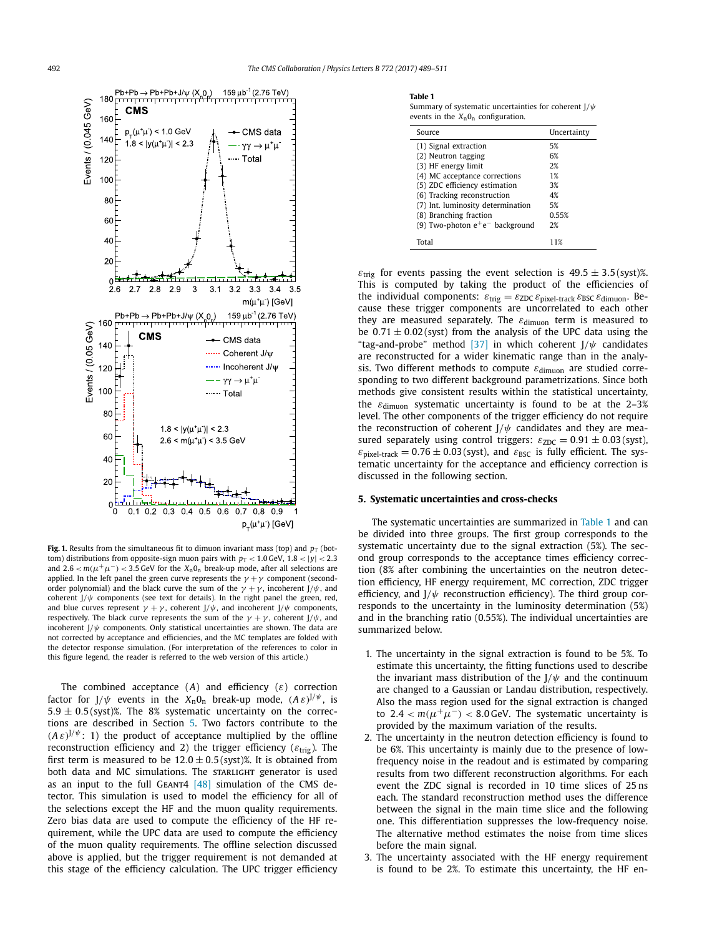<span id="page-3-0"></span>

**Fig. 1.** Results from the simultaneous fit to dimuon invariant mass (top) and  $p_T$  (bottom) distributions from opposite-sign muon pairs with  $p_T < 1.0$  GeV,  $1.8 < |y| < 2.3$ and  $2.6 < m(\mu^+\mu^-) < 3.5$  GeV for the  $X_n0_n$  break-up mode, after all selections are applied. In the left panel the green curve represents the  $\gamma + \gamma$  component (secondorder polynomial) and the black curve the sum of the  $\gamma + \gamma$ , incoherent J/ $\psi$ , and coherent  $J/\psi$  components (see text for details). In the right panel the green, red, and blue curves represent  $\gamma + \gamma$ , coherent  $J/\psi$ , and incoherent  $J/\psi$  components, respectively. The black curve represents the sum of the  $\gamma + \gamma$ , coherent  $J/\psi$ , and incoherent J*/ψ* components. Only statistical uncertainties are shown. The data are not corrected by acceptance and efficiencies, and the MC templates are folded with the detector response simulation. (For interpretation of the references to color in this figure legend, the reader is referred to the web version of this article.)

The combined acceptance (*A*) and efficiency (*ε*) correction factor for  $J/\psi$  events in the  $X_n O_n$  break-up mode,  $(A \varepsilon)^{J/\psi}$ , is 5*.*9 ± 0*.*5 (syst)%. The 8% systematic uncertainty on the corrections are described in Section 5. Two factors contribute to the  $(A \varepsilon)^{J/\psi}$ : 1) the product of acceptance multiplied by the offline reconstruction efficiency and 2) the trigger efficiency ( $\varepsilon$ <sub>trig</sub>). The first term is measured to be  $12.0 \pm 0.5$  (syst)%. It is obtained from both data and MC simulations. The star used generator is used as an input to the full GEANT4  $[48]$  simulation of the CMS detector. This simulation is used to model the efficiency for all of the selections except the HF and the muon quality requirements. Zero bias data are used to compute the efficiency of the HF requirement, while the UPC data are used to compute the efficiency of the muon quality requirements. The offline selection discussed above is applied, but the trigger requirement is not demanded at this stage of the efficiency calculation. The UPC trigger efficiency

#### **Table 1**

Summary of systematic uncertainties for coherent J*/ψ* events in the  $X_n$ <sup>0</sup><sub>n</sub> configuration.

| Source                             | Uncertainty |
|------------------------------------|-------------|
| (1) Signal extraction              | 5%          |
| (2) Neutron tagging                | 6%          |
| (3) HF energy limit                | 2%          |
| (4) MC acceptance corrections      | 1%          |
| (5) ZDC efficiency estimation      | 3%          |
| (6) Tracking reconstruction        | 4%          |
| (7) Int. luminosity determination  | 5%          |
| (8) Branching fraction             | 0.55%       |
| (9) Two-photon $e^+e^-$ background | 2%          |
| Total                              | 11%         |

 $\varepsilon$ <sub>trig</sub> for events passing the event selection is  $49.5 \pm 3.5$  (syst)%. This is computed by taking the product of the efficiencies of the individual components:  $\varepsilon_{\text{trig}} = \varepsilon_{\text{ZDC}} \varepsilon_{\text{pixel-track}} \varepsilon_{\text{BSC}} \varepsilon_{\text{dimum}}$ . Because these trigger components are uncorrelated to each other they are measured separately. The *ε*<sub>dimuon</sub> term is measured to be  $0.71 \pm 0.02$  (syst) from the analysis of the UPC data using the "tag-and-probe" method [\[37\]](#page-6-0) in which coherent J*/ψ* candidates are reconstructed for a wider kinematic range than in the analysis. Two different methods to compute  $\varepsilon_{\text{dimuon}}$  are studied corresponding to two different background parametrizations. Since both methods give consistent results within the statistical uncertainty, the *ε*dimuon systematic uncertainty is found to be at the 2–3% level. The other components of the trigger efficiency do not require the reconstruction of coherent J*/ψ* candidates and they are measured separately using control triggers:  $\varepsilon_{ZDC} = 0.91 \pm 0.03$  (syst),  $\varepsilon_{\text{pixel-track}} = 0.76 \pm 0.03$  (syst), and  $\varepsilon_{\text{BSC}}$  is fully efficient. The systematic uncertainty for the acceptance and efficiency correction is discussed in the following section.

#### **5. Systematic uncertainties and cross-checks**

The systematic uncertainties are summarized in Table 1 and can be divided into three groups. The first group corresponds to the systematic uncertainty due to the signal extraction (5%). The second group corresponds to the acceptance times efficiency correction (8% after combining the uncertainties on the neutron detection efficiency, HF energy requirement, MC correction, ZDC trigger efficiency, and J*/ψ* reconstruction efficiency). The third group corresponds to the uncertainty in the luminosity determination (5%) and in the branching ratio (0.55%). The individual uncertainties are summarized below.

- 1. The uncertainty in the signal extraction is found to be 5%. To estimate this uncertainty, the fitting functions used to describe the invariant mass distribution of the  $J/\psi$  and the continuum are changed to a Gaussian or Landau distribution, respectively. Also the mass region used for the signal extraction is changed to  $2.4 < m(\mu^+\mu^-) < 8.0$  GeV. The systematic uncertainty is provided by the maximum variation of the results.
- 2. The uncertainty in the neutron detection efficiency is found to be 6%. This uncertainty is mainly due to the presence of lowfrequency noise in the readout and is estimated by comparing results from two different reconstruction algorithms. For each event the ZDC signal is recorded in 10 time slices of 25 ns each. The standard reconstruction method uses the difference between the signal in the main time slice and the following one. This differentiation suppresses the low-frequency noise. The alternative method estimates the noise from time slices before the main signal.
- 3. The uncertainty associated with the HF energy requirement is found to be 2%. To estimate this uncertainty, the HF en-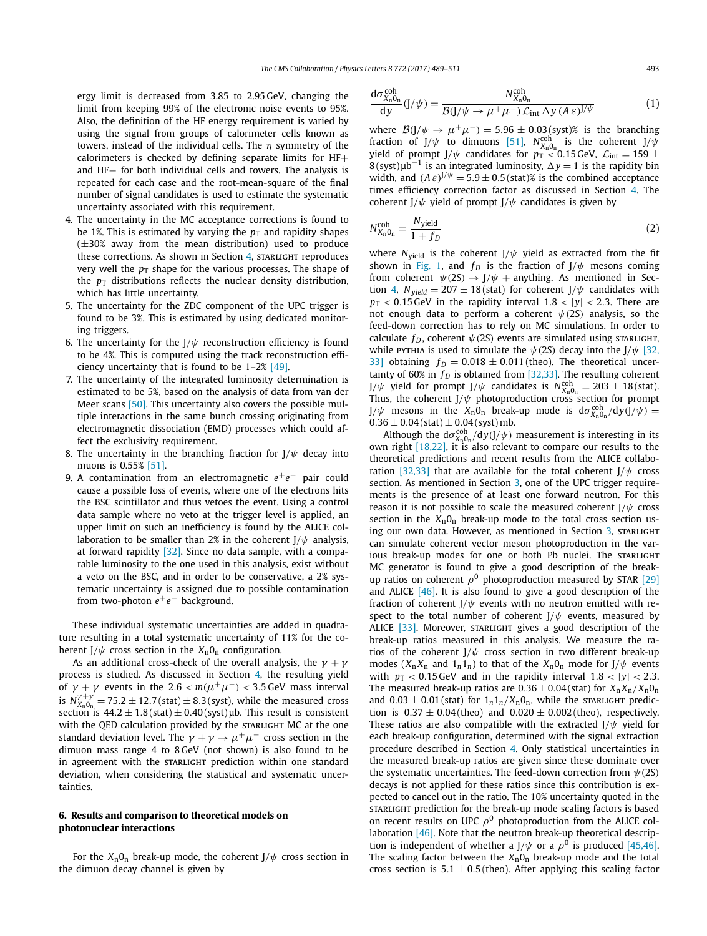<span id="page-4-0"></span>ergy limit is decreased from 3.85 to 2.95 GeV, changing the limit from keeping 99% of the electronic noise events to 95%. Also, the definition of the HF energy requirement is varied by using the signal from groups of calorimeter cells known as towers, instead of the individual cells. The *η* symmetry of the calorimeters is checked by defining separate limits for HF+ and HF− for both individual cells and towers. The analysis is repeated for each case and the root-mean-square of the final number of signal candidates is used to estimate the systematic uncertainty associated with this requirement.

- 4. The uncertainty in the MC acceptance corrections is found to be 1%. This is estimated by varying the  $p<sub>T</sub>$  and rapidity shapes (±30% away from the mean distribution) used to produce these corrections. As shown in Section [4,](#page-2-0) STARLIGHT reproduces very well the  $p<sub>T</sub>$  shape for the various processes. The shape of the  $p_T$  distributions reflects the nuclear density distribution, which has little uncertainty.
- 5. The uncertainty for the ZDC component of the UPC trigger is found to be 3%. This is estimated by using dedicated monitoring triggers.
- 6. The uncertainty for the  $J/\psi$  reconstruction efficiency is found to be 4%. This is computed using the track reconstruction efficiency uncertainty that is found to be 1–2% [\[49\].](#page-7-0)
- 7. The uncertainty of the integrated luminosity determination is estimated to be 5%, based on the analysis of data from van der Meer scans [\[50\].](#page-7-0) This uncertainty also covers the possible multiple interactions in the same bunch crossing originating from electromagnetic dissociation (EMD) processes which could affect the exclusivity requirement.
- 8. The uncertainty in the branching fraction for J*/ψ* decay into muons is 0.55% [\[51\].](#page-7-0)
- 9. A contamination from an electromagnetic  $e^+e^-$  pair could cause a possible loss of events, where one of the electrons hits the BSC scintillator and thus vetoes the event. Using a control data sample where no veto at the trigger level is applied, an upper limit on such an inefficiency is found by the ALICE collaboration to be smaller than 2% in the coherent J*/ψ* analysis, at forward rapidity  $[32]$ . Since no data sample, with a comparable luminosity to the one used in this analysis, exist without a veto on the BSC, and in order to be conservative, a 2% systematic uncertainty is assigned due to possible contamination from two-photon *e*+*e*− background.

These individual systematic uncertainties are added in quadrature resulting in a total systematic uncertainty of 11% for the coherent  $J/\psi$  cross section in the  $X_n O_n$  configuration.

As an additional cross-check of the overall analysis, the  $\gamma + \gamma$ process is studied. As discussed in Section [4,](#page-2-0) the resulting yield of  $\gamma + \gamma$  events in the 2.6 *< m*( $\mu^+\mu^-$ ) < 3.5 GeV mass interval is  $N_{X_n0_n}^{y+y} = 75.2 \pm 12.7$  (stat)  $\pm 8.3$  (syst), while the measured cross section is  $44.2 \pm 1.8$  (stat)  $\pm 0.40$  (syst) µb. This result is consistent with the QED calculation provided by the STARLIGHT MC at the one standard deviation level. The  $\gamma + \gamma \rightarrow \mu^+ \mu^-$  cross section in the dimuon mass range 4 to 8 GeV (not shown) is also found to be in agreement with the starlight prediction within one standard deviation, when considering the statistical and systematic uncertainties.

#### **6. Results and comparison to theoretical models on photonuclear interactions**

For the  $X_n$ <sup>0</sup><sub>n</sub> break-up mode, the coherent  $J/\psi$  cross section in the dimuon decay channel is given by

$$
\frac{d\sigma_{X_n 0_n}^{\text{coh}}}{dy} (J/\psi) = \frac{N_{X_n 0_n}^{\text{coh}}}{\mathcal{B}(J/\psi \to \mu^+ \mu^-) \mathcal{L}_{\text{int}} \Delta y \, (A \, \varepsilon)^{J/\psi}}
$$
(1)

where  $\mathcal{B}(\mathbf{J}/\psi \to \mu^+\mu^-) = 5.96 \pm 0.03$  (syst)% is the branching fraction of J/ $\psi$  to dimuons [\[51\],](#page-7-0)  $N_{X_n0_n}^{\text{coh}}$  is the coherent J/ $\psi$ yield of prompt J/ $\psi$  candidates for  $p_T < 0.15$  GeV,  $\mathcal{L}_{int} = 159 \pm 10^{-10}$  $8$ (syst) $\mu$ b<sup>-1</sup> is an integrated luminosity,  $\Delta y = 1$  is the rapidity bin width, and  $(A \epsilon)^{J/\psi} = 5.9 \pm 0.5$  (stat)% is the combined acceptance times efficiency correction factor as discussed in Section [4.](#page-2-0) The coherent J*/ψ* yield of prompt J*/ψ* candidates is given by

$$
N_{X_n0_n}^{\text{coh}} = \frac{N_{\text{yield}}}{1 + f_D} \tag{2}
$$

where  $N_{yield}$  is the coherent  $J/\psi$  yield as extracted from the fit shown in [Fig. 1,](#page-3-0) and  $f_D$  is the fraction of  $J/\psi$  mesons coming from coherent  $\psi$ (2S)  $\rightarrow$  J/ $\psi$  + anything. As mentioned in Sec-tion [4,](#page-2-0)  $N_{yield} = 207 \pm 18$  (stat) for coherent  $J/\psi$  candidates with  $p_T < 0.15$  GeV in the rapidity interval  $1.8 < |y| < 2.3$ . There are not enough data to perform a coherent *ψ(*2S*)* analysis, so the feed-down correction has to rely on MC simulations. In order to calculate  $f_D$ , coherent  $\psi$  (2S) events are simulated using star and calculate  $f_D$ , coherent  $\psi$  (2S) events are simulated using star and calculate while PYTHIA is used to simulate the  $\psi$ (2S) decay into the *J*/ $\psi$  [\[32,](#page-6-0) [33\]](#page-6-0) obtaining  $f_D = 0.018 \pm 0.011$  (theo). The theoretical uncertainty of 60% in  $f_D$  is obtained from [\[32,33\].](#page-6-0) The resulting coherent  $J/\psi$  yield for prompt  $J/\psi$  candidates is  $N_{X_n0_n}^{\text{coh}} = 203 \pm 18$  (stat). Thus, the coherent  $J/\psi$  photoproduction cross section for prompt  $J/\psi$  mesons in the  $X_n 0_n$  break-up mode is  $d\sigma_{X_n 0_n}^{coh}/dy(J/\psi) =$  $0.36 \pm 0.04$  (stat)  $\pm 0.04$  (syst) mb.

Although the  $d\sigma_{X_n^00_n}^{\text{coh}} / dy(J/\psi)$  measurement is interesting in its own right  $[18,22]$ , it is also relevant to compare our results to the theoretical predictions and recent results from the ALICE collaboration [\[32,33\]](#page-6-0) that are available for the total coherent J*/ψ* cross section. As mentioned in Section [3,](#page-1-0) one of the UPC trigger requirements is the presence of at least one forward neutron. For this reason it is not possible to scale the measured coherent J*/ψ* cross section in the  $X_n$ <sup>0</sup><sub>n</sub> break-up mode to the total cross section using our own data. However, as mentioned in Section  $3$ , STARLIGHT can simulate coherent vector meson photoproduction in the various break-up modes for one or both Pb nuclei. The STARLIGHT MC generator is found to give a good description of the breakup ratios on coherent  $\rho^0$  photoproduction measured by STAR [\[29\]](#page-6-0) and ALICE [\[46\].](#page-7-0) It is also found to give a good description of the fraction of coherent  $J/\psi$  events with no neutron emitted with respect to the total number of coherent J*/ψ* events, measured by ALICE [\[33\].](#page-6-0) Moreover, starlight gives a good description of the break-up ratios measured in this analysis. We measure the ratios of the coherent  $J/\psi$  cross section in two different break-up modes ( $X_n X_n$  and  $1_n 1_n$ ) to that of the  $X_n 0_n$  mode for J/ $\psi$  events with  $p_T < 0.15$  GeV and in the rapidity interval  $1.8 < |y| < 2.3$ . The measured break-up ratios are  $0.36 \pm 0.04$  (stat) for  $X_n X_n / X_n 0_n$ and  $0.03 \pm 0.01$  (stat) for  $1_n 1_n / X_n 0_n$ , while the startlight prediction is  $0.37 \pm 0.04$  (theo) and  $0.020 \pm 0.002$  (theo), respectively. These ratios are also compatible with the extracted J*/ψ* yield for each break-up configuration, determined with the signal extraction procedure described in Section [4.](#page-2-0) Only statistical uncertainties in the measured break-up ratios are given since these dominate over the systematic uncertainties. The feed-down correction from *ψ(*2S*)* decays is not applied for these ratios since this contribution is expected to cancel out in the ratio. The 10% uncertainty quoted in the starlight prediction for the break-up mode scaling factors is based on recent results on UPC  $\rho^0$  photoproduction from the ALICE collaboration [\[46\].](#page-7-0) Note that the neutron break-up theoretical description is independent of whether a  $J/\psi$  or a  $\rho^0$  is produced [\[45,46\].](#page-7-0) The scaling factor between the  $X_nO_n$  break-up mode and the total cross section is  $5.1 \pm 0.5$  (theo). After applying this scaling factor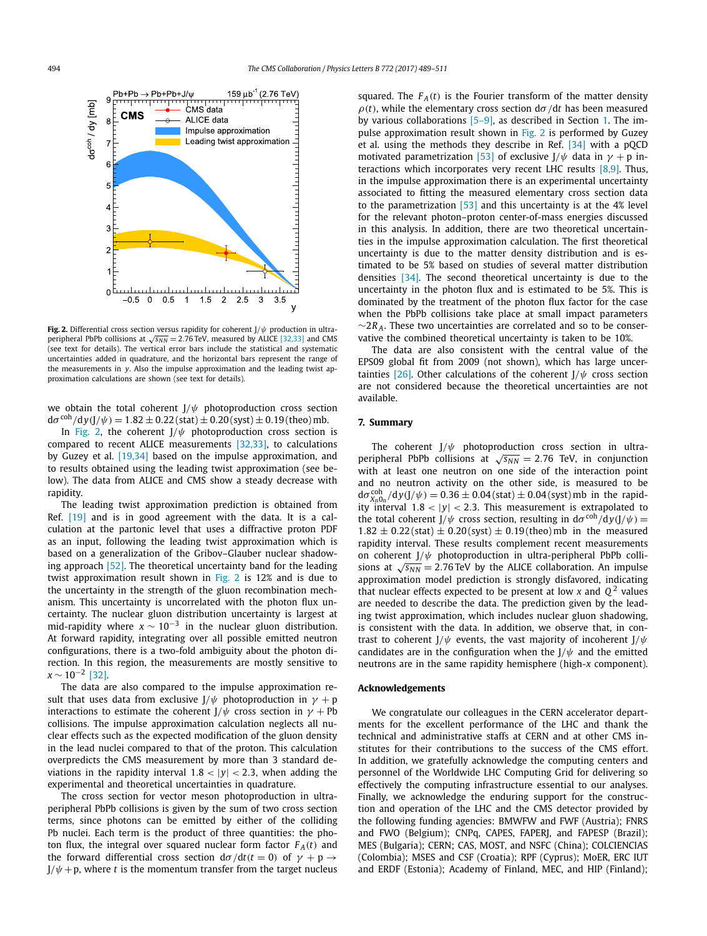<span id="page-5-0"></span>

**Fig. 2.** Differential cross section versus rapidity for coherent J*/ψ* production in ultraperipheral PbPb collisions at  $\sqrt{s_{NN}}$  = 2.76 TeV, measured by ALICE [\[32,33\]](#page-6-0) and CMS (see text for details). The vertical error bars include the statistical and systematic uncertainties added in quadrature, and the horizontal bars represent the range of the measurements in *y*. Also the impulse approximation and the leading twist approximation calculations are shown (see text for details).

we obtain the total coherent J*/ψ* photoproduction cross section  $d\sigma^{coh}/dy(J/\psi) = 1.82 \pm 0.22$  (stat)  $\pm$  0.20 (syst)  $\pm$  0.19 (theo) mb.

In Fig. 2, the coherent J*/ψ* photoproduction cross section is compared to recent ALICE measurements [\[32,33\],](#page-6-0) to calculations by Guzey et al. [\[19,34\]](#page-6-0) based on the impulse approximation, and to results obtained using the leading twist approximation (see below). The data from ALICE and CMS show a steady decrease with rapidity.

The leading twist approximation prediction is obtained from Ref. [\[19\]](#page-6-0) and is in good agreement with the data. It is a calculation at the partonic level that uses a diffractive proton PDF as an input, following the leading twist approximation which is based on a generalization of the Gribov–Glauber nuclear shadowing approach [\[52\].](#page-7-0) The theoretical uncertainty band for the leading twist approximation result shown in Fig. 2 is 12% and is due to the uncertainty in the strength of the gluon recombination mechanism. This uncertainty is uncorrelated with the photon flux uncertainty. The nuclear gluon distribution uncertainty is largest at mid-rapidity where  $x \sim 10^{-3}$  in the nuclear gluon distribution. At forward rapidity, integrating over all possible emitted neutron configurations, there is a two-fold ambiguity about the photon direction. In this region, the measurements are mostly sensitive to *x* ∼ 10<sup>-2</sup> [\[32\].](#page-6-0)

The data are also compared to the impulse approximation result that uses data from exclusive  $J/\psi$  photoproduction in  $\gamma + p$ interactions to estimate the coherent  $J/\psi$  cross section in  $\gamma$  + Pb collisions. The impulse approximation calculation neglects all nuclear effects such as the expected modification of the gluon density in the lead nuclei compared to that of the proton. This calculation overpredicts the CMS measurement by more than 3 standard deviations in the rapidity interval  $1.8 < |y| < 2.3$ , when adding the experimental and theoretical uncertainties in quadrature.

The cross section for vector meson photoproduction in ultraperipheral PbPb collisions is given by the sum of two cross section terms, since photons can be emitted by either of the colliding Pb nuclei. Each term is the product of three quantities: the photon flux, the integral over squared nuclear form factor  $F_A(t)$  and the forward differential cross section  $d\sigma/dt(t=0)$  of  $\gamma + p \rightarrow$  $J/\psi$  + p, where *t* is the momentum transfer from the target nucleus squared. The  $F_A(t)$  is the Fourier transform of the matter density  $\rho(t)$ , while the elementary cross section d $\sigma/dt$  has been measured by various collaborations [\[5–9\],](#page-6-0) as described in Section [1.](#page-0-0) The impulse approximation result shown in Fig. 2 is performed by Guzey et al. using the methods they describe in Ref. [\[34\]](#page-6-0) with a pQCD motivated parametrization [\[53\]](#page-7-0) of exclusive  $J/\psi$  data in  $\gamma + p$  interactions which incorporates very recent LHC results [\[8,9\].](#page-6-0) Thus, in the impulse approximation there is an experimental uncertainty associated to fitting the measured elementary cross section data to the parametrization  $[53]$  and this uncertainty is at the 4% level for the relevant photon–proton center-of-mass energies discussed in this analysis. In addition, there are two theoretical uncertainties in the impulse approximation calculation. The first theoretical uncertainty is due to the matter density distribution and is estimated to be 5% based on studies of several matter distribution densities [\[34\].](#page-6-0) The second theoretical uncertainty is due to the uncertainty in the photon flux and is estimated to be 5%. This is dominated by the treatment of the photon flux factor for the case when the PbPb collisions take place at small impact parameters ∼2*R <sup>A</sup>*. These two uncertainties are correlated and so to be conservative the combined theoretical uncertainty is taken to be 10%.

The data are also consistent with the central value of the EPS09 global fit from 2009 (not shown), which has large uncertainties  $[26]$ . Other calculations of the coherent  $J/\psi$  cross section are not considered because the theoretical uncertainties are not available.

#### **7. Summary**

The coherent J*/ψ* photoproduction cross section in ultraperipheral PbPb collisions at  $\sqrt{s_{NN}} = 2.76$  TeV, in conjunction with at least one neutron on one side of the interaction point and no neutron activity on the other side, is measured to be  $d\sigma_{X_p0_n}^{\text{coh}}/dy(J/\psi) = 0.36 \pm 0.04 \text{(stat)} \pm 0.04 \text{(syst)}$  mb in the rapidity interval 1*.*8 *<* |*y*| *<* 2*.*3. This measurement is extrapolated to the total coherent  $J/\psi$  cross section, resulting in  $d\sigma^{coh}/d\nu(I/\psi)$  =  $1.82 \pm 0.22$  (stat)  $\pm 0.20$  (syst)  $\pm 0.19$  (theo) mb in the measured rapidity interval. These results complement recent measurements on coherent J*/ψ* photoproduction in ultra-peripheral PbPb collisions at  $\sqrt{s_{NN}}$  = 2.76 TeV by the ALICE collaboration. An impulse approximation model prediction is strongly disfavored, indicating that nuclear effects expected to be present at low  $x$  and  $Q^2$  values are needed to describe the data. The prediction given by the leading twist approximation, which includes nuclear gluon shadowing, is consistent with the data. In addition, we observe that, in contrast to coherent J*/ψ* events, the vast majority of incoherent J*/ψ* candidates are in the configuration when the J*/ψ* and the emitted neutrons are in the same rapidity hemisphere (high-*x* component).

#### **Acknowledgements**

We congratulate our colleagues in the CERN accelerator departments for the excellent performance of the LHC and thank the technical and administrative staffs at CERN and at other CMS institutes for their contributions to the success of the CMS effort. In addition, we gratefully acknowledge the computing centers and personnel of the Worldwide LHC Computing Grid for delivering so effectively the computing infrastructure essential to our analyses. Finally, we acknowledge the enduring support for the construction and operation of the LHC and the CMS detector provided by the following funding agencies: BMWFW and FWF (Austria); FNRS and FWO (Belgium); CNPq, CAPES, FAPERJ, and FAPESP (Brazil); MES (Bulgaria); CERN; CAS, MOST, and NSFC (China); COLCIENCIAS (Colombia); MSES and CSF (Croatia); RPF (Cyprus); MoER, ERC IUT and ERDF (Estonia); Academy of Finland, MEC, and HIP (Finland);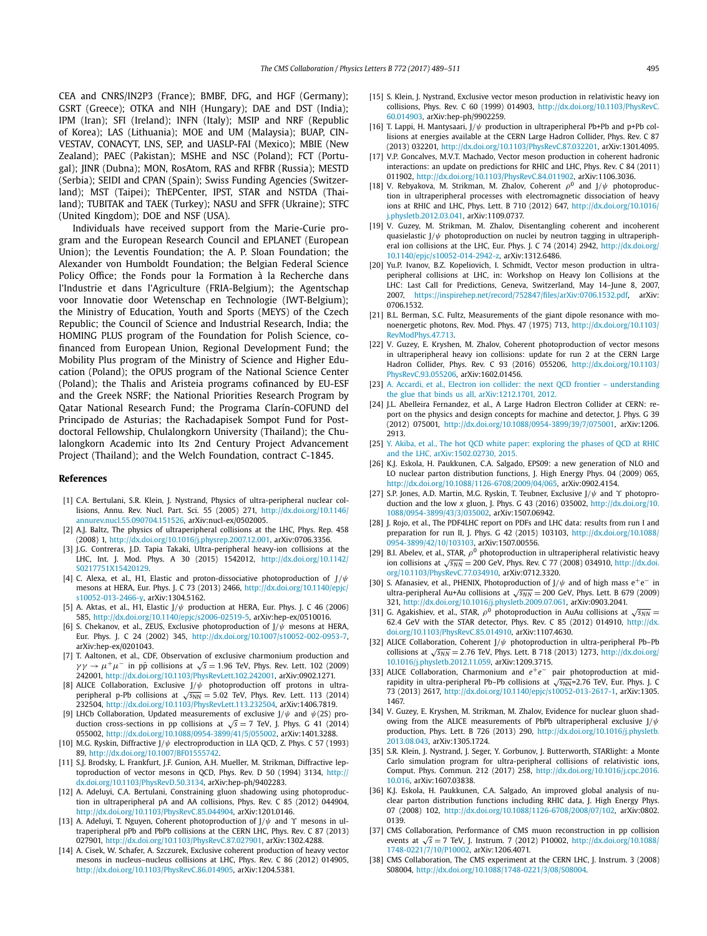<span id="page-6-0"></span>CEA and CNRS/IN2P3 (France); BMBF, DFG, and HGF (Germany); GSRT (Greece); OTKA and NIH (Hungary); DAE and DST (India); IPM (Iran); SFI (Ireland); INFN (Italy); MSIP and NRF (Republic of Korea); LAS (Lithuania); MOE and UM (Malaysia); BUAP, CIN-VESTAV, CONACYT, LNS, SEP, and UASLP-FAI (Mexico); MBIE (New Zealand); PAEC (Pakistan); MSHE and NSC (Poland); FCT (Portugal); JINR (Dubna); MON, RosAtom, RAS and RFBR (Russia); MESTD (Serbia); SEIDI and CPAN (Spain); Swiss Funding Agencies (Switzerland); MST (Taipei); ThEPCenter, IPST, STAR and NSTDA (Thailand); TUBITAK and TAEK (Turkey); NASU and SFFR (Ukraine); STFC (United Kingdom); DOE and NSF (USA).

Individuals have received support from the Marie-Curie program and the European Research Council and EPLANET (European Union); the Leventis Foundation; the A. P. Sloan Foundation; the Alexander von Humboldt Foundation; the Belgian Federal Science Policy Office; the Fonds pour la Formation à la Recherche dans l'Industrie et dans l'Agriculture (FRIA-Belgium); the Agentschap voor Innovatie door Wetenschap en Technologie (IWT-Belgium); the Ministry of Education, Youth and Sports (MEYS) of the Czech Republic; the Council of Science and Industrial Research, India; the HOMING PLUS program of the Foundation for Polish Science, cofinanced from European Union, Regional Development Fund; the Mobility Plus program of the Ministry of Science and Higher Education (Poland); the OPUS program of the National Science Center (Poland); the Thalis and Aristeia programs cofinanced by EU-ESF and the Greek NSRF; the National Priorities Research Program by Qatar National Research Fund; the Programa Clarín-COFUND del Principado de Asturias; the Rachadapisek Sompot Fund for Postdoctoral Fellowship, Chulalongkorn University (Thailand); the Chulalongkorn Academic into Its 2nd Century Project Advancement Project (Thailand); and the Welch Foundation, contract C-1845.

#### **References**

- [1] C.A. Bertulani, S.R. Klein, J. Nystrand, Physics of ultra-peripheral nuclear collisions, Annu. Rev. Nucl. Part. Sci. 55 (2005) 271, [http://dx.doi.org/10.1146/](http://dx.doi.org/10.1146/annurev.nucl.55.090704.151526) [annurev.nucl.55.090704.151526,](http://dx.doi.org/10.1146/annurev.nucl.55.090704.151526) arXiv:nucl-ex/0502005.
- [2] A.J. Baltz, The physics of ultraperipheral collisions at the LHC, Phys. Rep. 458 (2008) 1, <http://dx.doi.org/10.1016/j.physrep.2007.12.001>, arXiv:0706.3356.
- [3] J.G. Contreras, J.D. Tapia Takaki, Ultra-peripheral heavy-ion collisions at the LHC, Int. J. Mod. Phys. A 30 (2015) 1542012, [http://dx.doi.org/10.1142/](http://dx.doi.org/10.1142/S0217751X15420129) [S0217751X15420129](http://dx.doi.org/10.1142/S0217751X15420129).
- [4] C. Alexa, et al., H1, Elastic and proton-dissociative photoproduction of *J/ψ* mesons at HERA, Eur. Phys. J. C 73 (2013) 2466, [http://dx.doi.org/10.1140/epjc/](http://dx.doi.org/10.1140/epjc/s10052-013-2466-y) [s10052-013-2466-y,](http://dx.doi.org/10.1140/epjc/s10052-013-2466-y) arXiv:1304.5162.
- [5] A. Aktas, et al., H1, Elastic J*/ψ* production at HERA, Eur. Phys. J. C 46 (2006) 585, <http://dx.doi.org/10.1140/epjc/s2006-02519-5>, arXiv:hep-ex/0510016.
- [6] S. Chekanov, et al., ZEUS, Exclusive photoproduction of J*/ψ* mesons at HERA, Eur. Phys. J. C 24 (2002) 345, <http://dx.doi.org/10.1007/s10052-002-0953-7>, arXiv:hep-ex/0201043.
- [7] T. Aaltonen, et al., CDF, Observation of exclusive charmonium production and  $\gamma \gamma \rightarrow \mu^+ \mu^-$  in pp collisions at  $\sqrt{s} = 1.96$  TeV, Phys. Rev. Lett. 102 (2009) 242001, <http://dx.doi.org/10.1103/PhysRevLett.102.242001>, arXiv:0902.1271.
- [8] ALICE Collaboration, Exclusive J*/ψ* photoproduction off protons in ultraperipheral p-Pb collisions at  $\sqrt{s_{NN}}$  = 5.02 TeV, Phys. Rev. Lett. 113 (2014) 232504, [http://dx.doi.org/10.1103/PhysRevLett.113.232504,](http://dx.doi.org/10.1103/PhysRevLett.113.232504) arXiv:1406.7819.
- [9] LHCb Collaboration, Updated measurements of exclusive J*/ψ* and *ψ*(2S) production cross-sections in pp collisions at  $\sqrt{s} = 7$  TeV, J. Phys. G 41 (2014) 055002, [http://dx.doi.org/10.1088/0954-3899/41/5/055002,](http://dx.doi.org/10.1088/0954-3899/41/5/055002) arXiv:1401.3288.
- [10] M.G. Ryskin, Diffractive J*/ψ* electroproduction in LLA QCD, Z. Phys. C 57 (1993) 89, [http://dx.doi.org/10.1007/BF01555742.](http://dx.doi.org/10.1007/BF01555742)
- [11] S.J. Brodsky, L. Frankfurt, J.F. Gunion, A.H. Mueller, M. Strikman, Diffractive leptoproduction of vector mesons in QCD, Phys. Rev. D 50 (1994) 3134, [http://](http://dx.doi.org/10.1103/PhysRevD.50.3134) [dx.doi.org/10.1103/PhysRevD.50.3134,](http://dx.doi.org/10.1103/PhysRevD.50.3134) arXiv:hep-ph/9402283.
- [12] A. Adeluyi, C.A. Bertulani, Constraining gluon shadowing using photoproduction in ultraperipheral pA and AA collisions, Phys. Rev. C 85 (2012) 044904, <http://dx.doi.org/10.1103/PhysRevC.85.044904>, arXiv:1201.0146.
- [13] A. Adeluyi, T. Nguyen, Coherent photoproduction of J*/ψ* and *ϒ* mesons in ultraperipheral pPb and PbPb collisions at the CERN LHC, Phys. Rev. C 87 (2013) 027901, <http://dx.doi.org/10.1103/PhysRevC.87.027901>, arXiv:1302.4288.
- [14] A. Cisek, W. Schafer, A. Szczurek, Exclusive coherent production of heavy vector mesons in nucleus–nucleus collisions at LHC, Phys. Rev. C 86 (2012) 014905, <http://dx.doi.org/10.1103/PhysRevC.86.014905>, arXiv:1204.5381.
- [15] S. Klein, J. Nystrand, Exclusive vector meson production in relativistic heavy ion collisions, Phys. Rev. C 60 (1999) 014903, [http://dx.doi.org/10.1103/PhysRevC.](http://dx.doi.org/10.1103/PhysRevC.60.014903) [60.014903](http://dx.doi.org/10.1103/PhysRevC.60.014903), arXiv:hep-ph/9902259.
- [16] T. Lappi, H. Mantysaari, J*/ψ* production in ultraperipheral Pb+Pb and p+Pb collisions at energies available at the CERN Large Hadron Collider, Phys. Rev. C 87 (2013) 032201, <http://dx.doi.org/10.1103/PhysRevC.87.032201>, arXiv:1301.4095.
- [17] V.P. Goncalves, M.V.T. Machado, Vector meson production in coherent hadronic interactions: an update on predictions for RHIC and LHC, Phys. Rev. C 84 (2011) 011902, <http://dx.doi.org/10.1103/PhysRevC.84.011902>, arXiv:1106.3036.
- [18] V. Rebyakova, M. Strikman, M. Zhalov, Coherent *ρ*<sup>0</sup> and J*/ψ* photoproduction in ultraperipheral processes with electromagnetic dissociation of heavy ions at RHIC and LHC, Phys. Lett. B 710 (2012) 647, [http://dx.doi.org/10.1016/](http://dx.doi.org/10.1016/j.physletb.2012.03.041) [j.physletb.2012.03.041](http://dx.doi.org/10.1016/j.physletb.2012.03.041), arXiv:1109.0737.
- [19] V. Guzey, M. Strikman, M. Zhalov, Disentangling coherent and incoherent quasielastic J*/ψ* photoproduction on nuclei by neutron tagging in ultraperipheral ion collisions at the LHC, Eur. Phys. J. C 74 (2014) 2942, [http://dx.doi.org/](http://dx.doi.org/10.1140/epjc/s10052-014-2942-z) [10.1140/epjc/s10052-014-2942-z,](http://dx.doi.org/10.1140/epjc/s10052-014-2942-z) arXiv:1312.6486.
- [20] Yu.P. Ivanov, B.Z. Kopeliovich, I. Schmidt, Vector meson production in ultraperipheral collisions at LHC, in: Workshop on Heavy Ion Collisions at the LHC: Last Call for Predictions, Geneva, Switzerland, May 14–June 8, 2007, 2007, <https://inspirehep.net/record/752847/files/arXiv:0706.1532.pdf>, arXiv: 0706.1532.
- [21] B.L. Berman, S.C. Fultz, Measurements of the giant dipole resonance with monoenergetic photons, Rev. Mod. Phys. 47 (1975) 713, [http://dx.doi.org/10.1103/](http://dx.doi.org/10.1103/RevModPhys.47.713) [RevModPhys.47.713.](http://dx.doi.org/10.1103/RevModPhys.47.713)
- [22] V. Guzey, E. Kryshen, M. Zhalov, Coherent photoproduction of vector mesons in ultraperipheral heavy ion collisions: update for run 2 at the CERN Large Hadron Collider, Phys. Rev. C 93 (2016) 055206, [http://dx.doi.org/10.1103/](http://dx.doi.org/10.1103/PhysRevC.93.055206) [PhysRevC.93.055206,](http://dx.doi.org/10.1103/PhysRevC.93.055206) arXiv:1602.01456.
- [23] A. Accardi, et al., Electron ion collider: the next QCD frontier [understanding](http://refhub.elsevier.com/S0370-2693(17)30548-8/bib416363617264693A32303132717574s1) the glue that binds us all, [arXiv:1212.1701,](http://refhub.elsevier.com/S0370-2693(17)30548-8/bib416363617264693A32303132717574s1) 2012.
- [24] J.L. Abelleira Fernandez, et al., A Large Hadron Electron Collider at CERN: report on the physics and design concepts for machine and detector, J. Phys. G 39 (2012) 075001, [http://dx.doi.org/10.1088/0954-3899/39/7/075001,](http://dx.doi.org/10.1088/0954-3899/39/7/075001) arXiv:1206. 2913.
- [25] Y. Akiba, et al., The hot QCD white paper: [exploring](http://refhub.elsevier.com/S0370-2693(17)30548-8/bib416B6962613A323031356A7761s1) the phases of QCD at RHIC and the LHC, [arXiv:1502.02730,](http://refhub.elsevier.com/S0370-2693(17)30548-8/bib416B6962613A323031356A7761s1) 2015.
- [26] K.J. Eskola, H. Paukkunen, C.A. Salgado, EPS09: a new generation of NLO and LO nuclear parton distribution functions, J. High Energy Phys. 04 (2009) 065, [http://dx.doi.org/10.1088/1126-6708/2009/04/065,](http://dx.doi.org/10.1088/1126-6708/2009/04/065) arXiv:0902.4154.
- [27] S.P. Jones, A.D. Martin, M.G. Ryskin, T. Teubner, Exclusive J*/ψ* and *ϒ* photoproduction and the low *x* gluon, J. Phys. G 43 (2016) 035002, [http://dx.doi.org/10.](http://dx.doi.org/10.1088/0954-3899/43/3/035002) [1088/0954-3899/43/3/035002](http://dx.doi.org/10.1088/0954-3899/43/3/035002), arXiv:1507.06942.
- [28] J. Rojo, et al., The PDF4LHC report on PDFs and LHC data: results from run I and preparation for run II, J. Phys. G 42 (2015) 103103, [http://dx.doi.org/10.1088/](http://dx.doi.org/10.1088/0954-3899/42/10/103103) [0954-3899/42/10/103103,](http://dx.doi.org/10.1088/0954-3899/42/10/103103) arXiv:1507.00556.
- [29] B.I. Abelev, et al., STAR, *ρ*<sup>0</sup> photoproduction in ultraperipheral relativistic heavy ion collisions at  $\sqrt{s_{NN}}$  = 200 GeV, Phys. Rev. C 77 (2008) 034910, [http://dx.doi.](http://dx.doi.org/10.1103/PhysRevC.77.034910) [org/10.1103/PhysRevC.77.034910](http://dx.doi.org/10.1103/PhysRevC.77.034910), arXiv:0712.3320.
- [30] S. Afanasiev, et al., PHENIX, Photoproduction of J/ $\psi$  and of high mass e<sup>+</sup>e<sup>−</sup> in ultra-peripheral Au+Au collisions at  $\sqrt{s_{NN}}$  = 200 GeV, Phys. Lett. B 679 (2009) 321, [http://dx.doi.org/10.1016/j.physletb.2009.07.061,](http://dx.doi.org/10.1016/j.physletb.2009.07.061) arXiv:0903.2041.
- [31] G. Agakishiev, et al., STAR,  $\rho^0$  photoproduction in AuAu collisions at  $\sqrt{s_{NN}}$  = 62*.*4 GeV with the STAR detector, Phys. Rev. C 85 (2012) 014910, [http://dx.](http://dx.doi.org/10.1103/PhysRevC.85.014910) [doi.org/10.1103/PhysRevC.85.014910,](http://dx.doi.org/10.1103/PhysRevC.85.014910) arXiv:1107.4630.
- [32] ALICE Collaboration, Coherent J*/ψ* photoproduction in ultra-peripheral Pb–Pb collisions at  $\sqrt{s_{NN}}$  = 2.76 TeV, Phys. Lett. B 718 (2013) 1273, [http://dx.doi.org/](http://dx.doi.org/10.1016/j.physletb.2012.11.059) [10.1016/j.physletb.2012.11.059,](http://dx.doi.org/10.1016/j.physletb.2012.11.059) arXiv:1209.3715.
- [33] ALICE Collaboration, Charmonium and  $e^+e^-$  pair photoproduction at midrapidity in ultra-peripheral Pb–Pb collisions at  $\sqrt{s_{NN}}$ =2.76 TeV, Eur. Phys. J. C 73 (2013) 2617, [http://dx.doi.org/10.1140/epjc/s10052-013-2617-1,](http://dx.doi.org/10.1140/epjc/s10052-013-2617-1) arXiv:1305. 1467.
- [34] V. Guzey, E. Kryshen, M. Strikman, M. Zhalov, Evidence for nuclear gluon shadowing from the ALICE measurements of PbPb ultraperipheral exclusive J*/ψ* production, Phys. Lett. B 726 (2013) 290, [http://dx.doi.org/10.1016/j.physletb.](http://dx.doi.org/10.1016/j.physletb.2013.08.043) [2013.08.043,](http://dx.doi.org/10.1016/j.physletb.2013.08.043) arXiv:1305.1724.
- [35] S.R. Klein, J. Nystrand, J. Seger, Y. Gorbunov, J. Butterworth, STARlight: a Monte Carlo simulation program for ultra-peripheral collisions of relativistic ions, Comput. Phys. Commun. 212 (2017) 258, [http://dx.doi.org/10.1016/j.cpc.2016.](http://dx.doi.org/10.1016/j.cpc.2016.10.016) [10.016](http://dx.doi.org/10.1016/j.cpc.2016.10.016), arXiv:1607.03838.
- [36] K.J. Eskola, H. Paukkunen, C.A. Salgado, An improved global analysis of nuclear parton distribution functions including RHIC data, J. High Energy Phys. 07 (2008) 102, [http://dx.doi.org/10.1088/1126-6708/2008/07/102,](http://dx.doi.org/10.1088/1126-6708/2008/07/102) arXiv:0802. 0139.
- [37] CMS Collaboration, Performance of CMS muon reconstruction in pp collision events at <sup>√</sup>*<sup>s</sup>* <sup>=</sup> 7 TeV, J. Instrum. <sup>7</sup> (2012) P10002, [http://dx.doi.org/10.1088/](http://dx.doi.org/10.1088/1748-0221/7/10/P10002) [1748-0221/7/10/P10002](http://dx.doi.org/10.1088/1748-0221/7/10/P10002), arXiv:1206.4071.
- [38] CMS Collaboration, The CMS experiment at the CERN LHC, J. Instrum. 3 (2008) S08004, <http://dx.doi.org/10.1088/1748-0221/3/08/S08004>.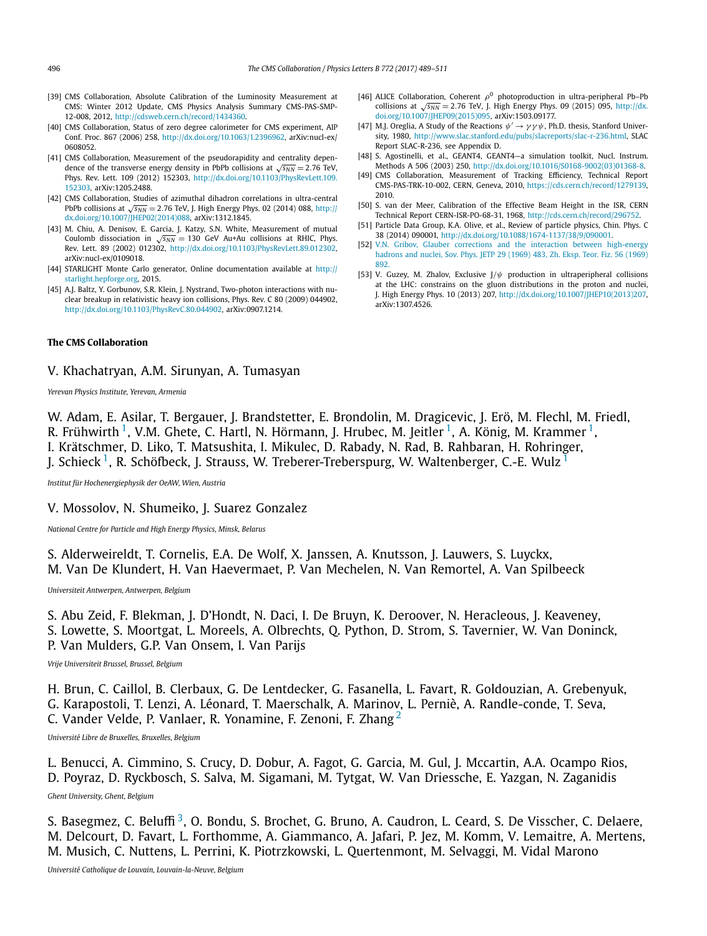- <span id="page-7-0"></span>[39] CMS Collaboration, Absolute Calibration of the Luminosity Measurement at CMS: Winter 2012 Update, CMS Physics Analysis Summary CMS-PAS-SMP-12-008, 2012, [http://cdsweb.cern.ch/record/1434360.](http://cdsweb.cern.ch/record/1434360)
- [40] CMS Collaboration, Status of zero degree calorimeter for CMS experiment, AIP Conf. Proc. 867 (2006) 258, <http://dx.doi.org/10.1063/1.2396962>, arXiv:nucl-ex/ 0608052.
- [41] CMS Collaboration, Measurement of the pseudorapidity and centrality dependence of the transverse energy density in PbPb collisions at  $\sqrt{s_{NN}} = 2.76$  TeV, Phys. Rev. Lett. 109 (2012) 152303, [http://dx.doi.org/10.1103/PhysRevLett.109.](http://dx.doi.org/10.1103/PhysRevLett.109.152303) [152303,](http://dx.doi.org/10.1103/PhysRevLett.109.152303) arXiv:1205.2488.
- [42] CMS Collaboration, Studies of azimuthal dihadron correlations in ultra-central PbPb collisions at  $\sqrt{s_{NN}}$  = 2.76 TeV, J. High Energy Phys. 02 (2014) 088, [http://](http://dx.doi.org/10.1007/JHEP02(2014)088) [dx.doi.org/10.1007/JHEP02\(2014\)088,](http://dx.doi.org/10.1007/JHEP02(2014)088) arXiv:1312.1845.
- [43] M. Chiu, A. Denisov, E. Garcia, J. Katzy, S.N. White, Measurement of mutual Coulomb dissociation in  $\sqrt{s_{NN}} = 130$  GeV Au+Au collisions at RHIC, Phys. Rev. Lett. 89 (2002) 012302, <http://dx.doi.org/10.1103/PhysRevLett.89.012302>, arXiv:nucl-ex/0109018.
- [44] STARLIGHT Monte Carlo generator, Online documentation available at [http://](http://starlight.hepforge.org) [starlight.hepforge.org,](http://starlight.hepforge.org) 2015.
- [45] A.J. Baltz, Y. Gorbunov, S.R. Klein, J. Nystrand, Two-photon interactions with nuclear breakup in relativistic heavy ion collisions, Phys. Rev. C 80 (2009) 044902, [http://dx.doi.org/10.1103/PhysRevC.80.044902,](http://dx.doi.org/10.1103/PhysRevC.80.044902) arXiv:0907.1214.

#### **The CMS Collaboration**

### V. Khachatryan, A.M. Sirunyan, A. Tumasyan

*Yerevan Physics Institute, Yerevan, Armenia*

- [46] ALICE Collaboration, Coherent  $\rho^0$  photoproduction in ultra-peripheral Pb–Pb collisions at  $\sqrt{s_{NN}}$  = 2.76 TeV, J. High Energy Phys. 09 (2015) 095, [http://dx.](http://dx.doi.org/10.1007/JHEP09(2015)095) [doi.org/10.1007/JHEP09\(2015\)095](http://dx.doi.org/10.1007/JHEP09(2015)095), arXiv:1503.09177.
- [47] M.J. Oreglia, <sup>A</sup> Study of the Reactions *ψ* → *γγ ψ*, Ph.D. thesis, Stanford University, 1980, <http://www.slac.stanford.edu/pubs/slacreports/slac-r-236.html>, SLAC Report SLAC-R-236, see Appendix D.
- [48] S. Agostinelli, et al., GEANT4, GEANT4-a simulation toolkit, Nucl. Instrum. Methods A 506 (2003) 250, [http://dx.doi.org/10.1016/S0168-9002\(03\)01368-8](http://dx.doi.org/10.1016/S0168-9002(03)01368-8).
- [49] CMS Collaboration, Measurement of Tracking Efficiency, Technical Report CMS-PAS-TRK-10-002, CERN, Geneva, 2010, <https://cds.cern.ch/record/1279139>, 2010.
- [50] S. van der Meer, Calibration of the Effective Beam Height in the ISR, CERN Technical Report CERN-ISR-PO-68-31, 1968, <http://cds.cern.ch/record/296752>.
- [51] Particle Data Group, K.A. Olive, et al., Review of particle physics, Chin. Phys. C 38 (2014) 090001, <http://dx.doi.org/10.1088/1674-1137/38/9/090001>.
- [52] V.N. Gribov, Glauber corrections and the interaction between [high-energy](http://refhub.elsevier.com/S0370-2693(17)30548-8/bib477269626F763A313936386A66s1) [hadrons](http://refhub.elsevier.com/S0370-2693(17)30548-8/bib477269626F763A313936386A66s1) and nuclei, Sov. Phys. JETP 29 (1969) 483, Zh. Eksp. Teor. Fiz. 56 (1969) [892.](http://refhub.elsevier.com/S0370-2693(17)30548-8/bib477269626F763A313936386A66s1)
- [53] V. Guzey, M. Zhalov, Exclusive J*/ψ* production in ultraperipheral collisions at the LHC: constrains on the gluon distributions in the proton and nuclei, J. High Energy Phys. 10 (2013) 207, [http://dx.doi.org/10.1007/JHEP10\(2013\)207](http://dx.doi.org/10.1007/JHEP10(2013)207), arXiv:1307.4526.

W. Adam, E. Asilar, T. Bergauer, J. Brandstetter, E. Brondolin, M. Dragicevic, J. Erö, M. Flechl, M. Friedl, R. Frühwirth <sup>1</sup>, V.M. Ghete, C. Hartl, N. Hörmann, J. Hrubec, M. Jeitler <sup>1</sup>, A. König, M. Krammer <sup>1</sup>, I. Krätschmer, D. Liko, T. Matsushita, I. Mikulec, D. Rabady, N. Rad, B. Rahbaran, H. Rohringer, J. Schieck [1,](#page-21-0) R. Schöfbeck, J. Strauss, W. Treberer-Treberspurg, W. Waltenberger, C.-E. Wulz [1](#page-21-0)

*Institut für Hochenergiephysik der OeAW, Wien, Austria*

### V. Mossolov, N. Shumeiko, J. Suarez Gonzalez

*National Centre for Particle and High Energy Physics, Minsk, Belarus*

S. Alderweireldt, T. Cornelis, E.A. De Wolf, X. Janssen, A. Knutsson, J. Lauwers, S. Luyckx, M. Van De Klundert, H. Van Haevermaet, P. Van Mechelen, N. Van Remortel, A. Van Spilbeeck

*Universiteit Antwerpen, Antwerpen, Belgium*

S. Abu Zeid, F. Blekman, J. D'Hondt, N. Daci, I. De Bruyn, K. Deroover, N. Heracleous, J. Keaveney, S. Lowette, S. Moortgat, L. Moreels, A. Olbrechts, Q. Python, D. Strom, S. Tavernier, W. Van Doninck, P. Van Mulders, G.P. Van Onsem, I. Van Parijs

*Vrije Universiteit Brussel, Brussel, Belgium*

H. Brun, C. Caillol, B. Clerbaux, G. De Lentdecker, G. Fasanella, L. Favart, R. Goldouzian, A. Grebenyuk, G. Karapostoli, T. Lenzi, A. Léonard, T. Maerschalk, A. Marinov, L. Perniè, A. Randle-conde, T. Seva, C. Vander Velde, P. Vanlaer, R. Yonamine, F. Zenoni, F. Zhang  $^2$  $^2$ 

*Université Libre de Bruxelles, Bruxelles, Belgium*

L. Benucci, A. Cimmino, S. Crucy, D. Dobur, A. Fagot, G. Garcia, M. Gul, J. Mccartin, A.A. Ocampo Rios, D. Poyraz, D. Ryckbosch, S. Salva, M. Sigamani, M. Tytgat, W. Van Driessche, E. Yazgan, N. Zaganidis *Ghent University, Ghent, Belgium*

S. Basegmez, C. Beluffi<sup>3</sup>, O. Bondu, S. Brochet, G. Bruno, A. Caudron, L. Ceard, S. De Visscher, C. Delaere, M. Delcourt, D. Favart, L. Forthomme, A. Giammanco, A. Jafari, P. Jez, M. Komm, V. Lemaitre, A. Mertens, M. Musich, C. Nuttens, L. Perrini, K. Piotrzkowski, L. Quertenmont, M. Selvaggi, M. Vidal Marono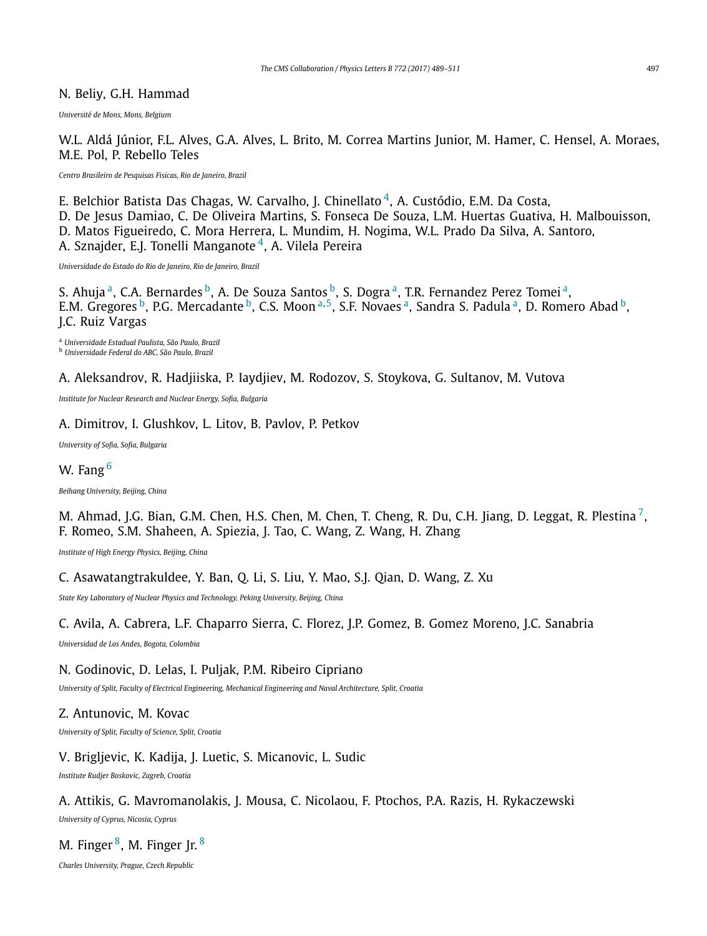# N. Beliy, G.H. Hammad

*Université de Mons, Mons, Belgium*

W.L. Aldá Júnior, F.L. Alves, G.A. Alves, L. Brito, M. Correa Martins Junior, M. Hamer, C. Hensel, A. Moraes, M.E. Pol, P. Rebello Teles

*Centro Brasileiro de Pesquisas Fisicas, Rio de Janeiro, Brazil*

E. Belchior Batista Das Chagas, W. Carvalho, J. Chinellato<sup>[4](#page-21-0)</sup>, A. Custódio, E.M. Da Costa,

D. De Jesus Damiao, C. De Oliveira Martins, S. Fonseca De Souza, L.M. Huertas Guativa, H. Malbouisson,

D. Matos Figueiredo, C. Mora Herrera, L. Mundim, H. Nogima, W.L. Prado Da Silva, A. Santoro,

A. Sznajder, E.J. Tonelli Manganote $4$ , A. Vilela Pereira

*Universidade do Estado do Rio de Janeiro, Rio de Janeiro, Brazil*

S. Ahuja<sup>a</sup>, C.A. Bernardes <sup>b</sup>, A. De Souza Santos <sup>b</sup>, S. Dogra<sup>a</sup>, T.R. Fernandez Perez Tomei<sup>a</sup>, E.M. Gregores <sup>b</sup>, P.G. Mercadante <sup>b</sup>, C.S. Moon <sup>a, 5</sup>, S.F. Novaes <sup>a</sup>, Sandra S. Padula <sup>a</sup>, D. Romero Abad <sup>b</sup>, J.C. Ruiz Vargas

<sup>a</sup> *Universidade Estadual Paulista, São Paulo, Brazil* <sup>b</sup> *Universidade Federal do ABC, São Paulo, Brazil*

A. Aleksandrov, R. Hadjiiska, P. Iaydjiev, M. Rodozov, S. Stoykova, G. Sultanov, M. Vutova

*Institute for Nuclear Research and Nuclear Energy, Sofia, Bulgaria*

A. Dimitrov, I. Glushkov, L. Litov, B. Pavlov, P. Petkov

*University of Sofia, Sofia, Bulgaria*

W. Fang<sup>[6](#page-21-0)</sup>

*Beihang University, Beijing, China*

M. Ahmad, J.G. Bian, G.M. Chen, H.S. Chen, M. Chen, T. Cheng, R. Du, C.H. Jiang, D. Leggat, R. Plestina [7,](#page-21-0) F. Romeo, S.M. Shaheen, A. Spiezia, J. Tao, C. Wang, Z. Wang, H. Zhang

*Institute of High Energy Physics, Beijing, China*

C. Asawatangtrakuldee, Y. Ban, Q. Li, S. Liu, Y. Mao, S.J. Qian, D. Wang, Z. Xu

*State Key Laboratory of Nuclear Physics and Technology, Peking University, Beijing, China*

# C. Avila, A. Cabrera, L.F. Chaparro Sierra, C. Florez, J.P. Gomez, B. Gomez Moreno, J.C. Sanabria

*Universidad de Los Andes, Bogota, Colombia*

N. Godinovic, D. Lelas, I. Puljak, P.M. Ribeiro Cipriano *University of Split, Faculty of Electrical Engineering, Mechanical Engineering and Naval Architecture, Split, Croatia*

### Z. Antunovic, M. Kovac

*University of Split, Faculty of Science, Split, Croatia*

V. Brigljevic, K. Kadija, J. Luetic, S. Micanovic, L. Sudic

*Institute Rudjer Boskovic, Zagreb, Croatia*

A. Attikis, G. Mavromanolakis, J. Mousa, C. Nicolaou, F. Ptochos, P.A. Razis, H. Rykaczewski *University of Cyprus, Nicosia, Cyprus*

M. Finger  $8$ , M. Finger Jr.  $8$ 

*Charles University, Prague, Czech Republic*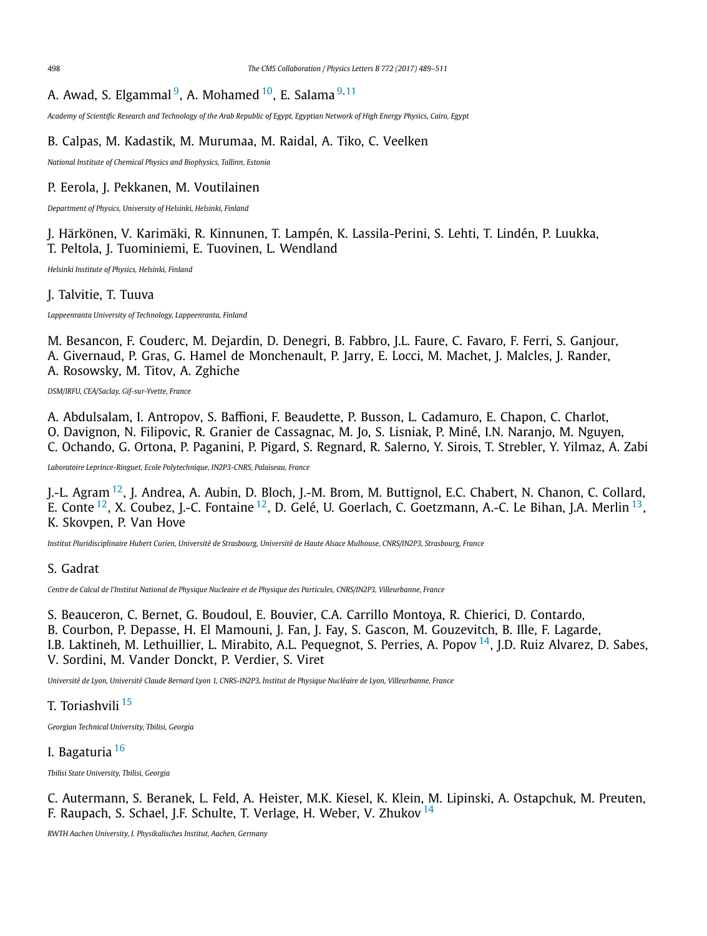# A. Awad, S. Elgammal<sup>[9](#page-21-0)</sup>, A. Mohamed <sup>[10](#page-21-0)</sup>, E. Salama<sup>9,[11](#page-21-0)</sup>

Academy of Scientific Research and Technology of the Arab Republic of Egypt, Egyptian Network of High Energy Physics, Cairo, Egypt

# B. Calpas, M. Kadastik, M. Murumaa, M. Raidal, A. Tiko, C. Veelken

*National Institute of Chemical Physics and Biophysics, Tallinn, Estonia*

# P. Eerola, J. Pekkanen, M. Voutilainen

*Department of Physics, University of Helsinki, Helsinki, Finland*

# J. Härkönen, V. Karimäki, R. Kinnunen, T. Lampén, K. Lassila-Perini, S. Lehti, T. Lindén, P. Luukka, T. Peltola, J. Tuominiemi, E. Tuovinen, L. Wendland

*Helsinki Institute of Physics, Helsinki, Finland*

# J. Talvitie, T. Tuuva

*Lappeenranta University of Technology, Lappeenranta, Finland*

M. Besancon, F. Couderc, M. Dejardin, D. Denegri, B. Fabbro, J.L. Faure, C. Favaro, F. Ferri, S. Ganjour, A. Givernaud, P. Gras, G. Hamel de Monchenault, P. Jarry, E. Locci, M. Machet, J. Malcles, J. Rander, A. Rosowsky, M. Titov, A. Zghiche

*DSM/IRFU, CEA/Saclay, Gif-sur-Yvette, France*

A. Abdulsalam, I. Antropov, S. Baffioni, F. Beaudette, P. Busson, L. Cadamuro, E. Chapon, C. Charlot, O. Davignon, N. Filipovic, R. Granier de Cassagnac, M. Jo, S. Lisniak, P. Miné, I.N. Naranjo, M. Nguyen, C. Ochando, G. Ortona, P. Paganini, P. Pigard, S. Regnard, R. Salerno, Y. Sirois, T. Strebler, Y. Yilmaz, A. Zabi

*Laboratoire Leprince-Ringuet, Ecole Polytechnique, IN2P3-CNRS, Palaiseau, France*

J.-L. Agram [12,](#page-21-0) J. Andrea, A. Aubin, D. Bloch, J.-M. Brom, M. Buttignol, E.C. Chabert, N. Chanon, C. Collard, E. Conte [12,](#page-21-0) X. Coubez, J.-C. Fontaine [12,](#page-21-0) D. Gelé, U. Goerlach, C. Goetzmann, A.-C. Le Bihan, J.A. Merlin [13,](#page-21-0) K. Skovpen, P. Van Hove

Institut Pluridisciplinaire Hubert Curien, Université de Strasbourg, Université de Haute Alsace Mulhouse, CNRS/IN2P3, Strasbourg, France

# S. Gadrat

Centre de Calcul de l'Institut National de Physique Nucleaire et de Physique des Particules, CNRS/IN2P3, Villeurbanne, France

S. Beauceron, C. Bernet, G. Boudoul, E. Bouvier, C.A. Carrillo Montoya, R. Chierici, D. Contardo, B. Courbon, P. Depasse, H. El Mamouni, J. Fan, J. Fay, S. Gascon, M. Gouzevitch, B. Ille, F. Lagarde, I.B. Laktineh, M. Lethuillier, L. Mirabito, A.L. Pequegnot, S. Perries, A. Popov <sup>14</sup>, J.D. Ruiz Alvarez, D. Sabes, V. Sordini, M. Vander Donckt, P. Verdier, S. Viret

Université de Lyon, Université Claude Bernard Lyon 1, CNRS-IN2P3, Institut de Physique Nucléaire de Lyon, Villeurbanne, France

# T. Toriashvili [15](#page-21-0)

*Georgian Technical University, Tbilisi, Georgia*

# I. Bagaturia [16](#page-21-0)

*Tbilisi State University, Tbilisi, Georgia*

C. Autermann, S. Beranek, L. Feld, A. Heister, M.K. Kiesel, K. Klein, M. Lipinski, A. Ostapchuk, M. Preuten, F. Raupach, S. Schael, J.F. Schulte, T. Verlage, H. Weber, V. Zhukov [14](#page-21-0)

*RWTH Aachen University, I. Physikalisches Institut, Aachen, Germany*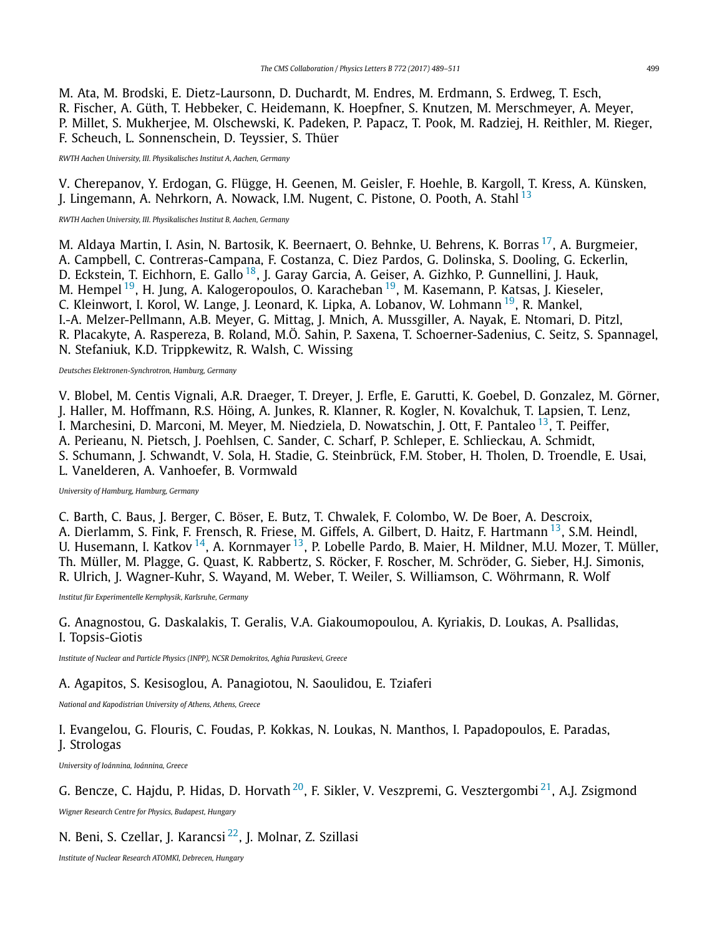M. Ata, M. Brodski, E. Dietz-Laursonn, D. Duchardt, M. Endres, M. Erdmann, S. Erdweg, T. Esch, R. Fischer, A. Güth, T. Hebbeker, C. Heidemann, K. Hoepfner, S. Knutzen, M. Merschmeyer, A. Meyer, P. Millet, S. Mukherjee, M. Olschewski, K. Padeken, P. Papacz, T. Pook, M. Radziej, H. Reithler, M. Rieger, F. Scheuch, L. Sonnenschein, D. Teyssier, S. Thüer

*RWTH Aachen University, III. Physikalisches Institut A, Aachen, Germany*

V. Cherepanov, Y. Erdogan, G. Flügge, H. Geenen, M. Geisler, F. Hoehle, B. Kargoll, T. Kress, A. Künsken, J. Lingemann, A. Nehrkorn, A. Nowack, I.M. Nugent, C. Pistone, O. Pooth, A. Stahl [13](#page-21-0)

*RWTH Aachen University, III. Physikalisches Institut B, Aachen, Germany*

M. Aldaya Martin, I. Asin, N. Bartosik, K. Beernaert, O. Behnke, U. Behrens, K. Borras [17,](#page-21-0) A. Burgmeier, A. Campbell, C. Contreras-Campana, F. Costanza, C. Diez Pardos, G. Dolinska, S. Dooling, G. Eckerlin, D. Eckstein, T. Eichhorn, E. Gallo [18,](#page-21-0) J. Garay Garcia, A. Geiser, A. Gizhko, P. Gunnellini, J. Hauk, M. Hempel <sup>19</sup>, H. Jung, A. Kalogeropoulos, O. Karacheban <sup>19</sup>, M. Kasemann, P. Katsas, J. Kieseler, C. Kleinwort, I. Korol, W. Lange, J. Leonard, K. Lipka, A. Lobanov, W. Lohmann<sup>19</sup>, R. Mankel, I.-A. Melzer-Pellmann, A.B. Meyer, G. Mittag, J. Mnich, A. Mussgiller, A. Nayak, E. Ntomari, D. Pitzl, R. Placakyte, A. Raspereza, B. Roland, M.Ö. Sahin, P. Saxena, T. Schoerner-Sadenius, C. Seitz, S. Spannagel, N. Stefaniuk, K.D. Trippkewitz, R. Walsh, C. Wissing

*Deutsches Elektronen-Synchrotron, Hamburg, Germany*

V. Blobel, M. Centis Vignali, A.R. Draeger, T. Dreyer, J. Erfle, E. Garutti, K. Goebel, D. Gonzalez, M. Görner, J. Haller, M. Hoffmann, R.S. Höing, A. Junkes, R. Klanner, R. Kogler, N. Kovalchuk, T. Lapsien, T. Lenz, I. Marchesini, D. Marconi, M. Meyer, M. Niedziela, D. Nowatschin, J. Ott, F. Pantaleo <sup>13</sup>, T. Peiffer, A. Perieanu, N. Pietsch, J. Poehlsen, C. Sander, C. Scharf, P. Schleper, E. Schlieckau, A. Schmidt, S. Schumann, J. Schwandt, V. Sola, H. Stadie, G. Steinbrück, F.M. Stober, H. Tholen, D. Troendle, E. Usai, L. Vanelderen, A. Vanhoefer, B. Vormwald

*University of Hamburg, Hamburg, Germany*

C. Barth, C. Baus, J. Berger, C. Böser, E. Butz, T. Chwalek, F. Colombo, W. De Boer, A. Descroix, A. Dierlamm, S. Fink, F. Frensch, R. Friese, M. Giffels, A. Gilbert, D. Haitz, F. Hartmann [13,](#page-21-0) S.M. Heindl, U. Husemann, I. Katkov [14,](#page-21-0) A. Kornmayer [13](#page-21-0), P. Lobelle Pardo, B. Maier, H. Mildner, M.U. Mozer, T. Müller, Th. Müller, M. Plagge, G. Quast, K. Rabbertz, S. Röcker, F. Roscher, M. Schröder, G. Sieber, H.J. Simonis, R. Ulrich, J. Wagner-Kuhr, S. Wayand, M. Weber, T. Weiler, S. Williamson, C. Wöhrmann, R. Wolf

*Institut für Experimentelle Kernphysik, Karlsruhe, Germany*

G. Anagnostou, G. Daskalakis, T. Geralis, V.A. Giakoumopoulou, A. Kyriakis, D. Loukas, A. Psallidas, I. Topsis-Giotis

*Institute of Nuclear and Particle Physics (INPP), NCSR Demokritos, Aghia Paraskevi, Greece*

# A. Agapitos, S. Kesisoglou, A. Panagiotou, N. Saoulidou, E. Tziaferi

*National and Kapodistrian University of Athens, Athens, Greece*

I. Evangelou, G. Flouris, C. Foudas, P. Kokkas, N. Loukas, N. Manthos, I. Papadopoulos, E. Paradas, J. Strologas

*University of Ioánnina, Ioánnina, Greece*

# G. Bencze, C. Hajdu, P. Hidas, D. Horvath<sup>20</sup>, F. Sikler, V. Veszpremi, G. Vesztergombi<sup>21</sup>, A.J. Zsigmond

*Wigner Research Centre for Physics, Budapest, Hungary*

# N. Beni, S. Czellar, J. Karancsi [22,](#page-21-0) J. Molnar, Z. Szillasi

*Institute of Nuclear Research ATOMKI, Debrecen, Hungary*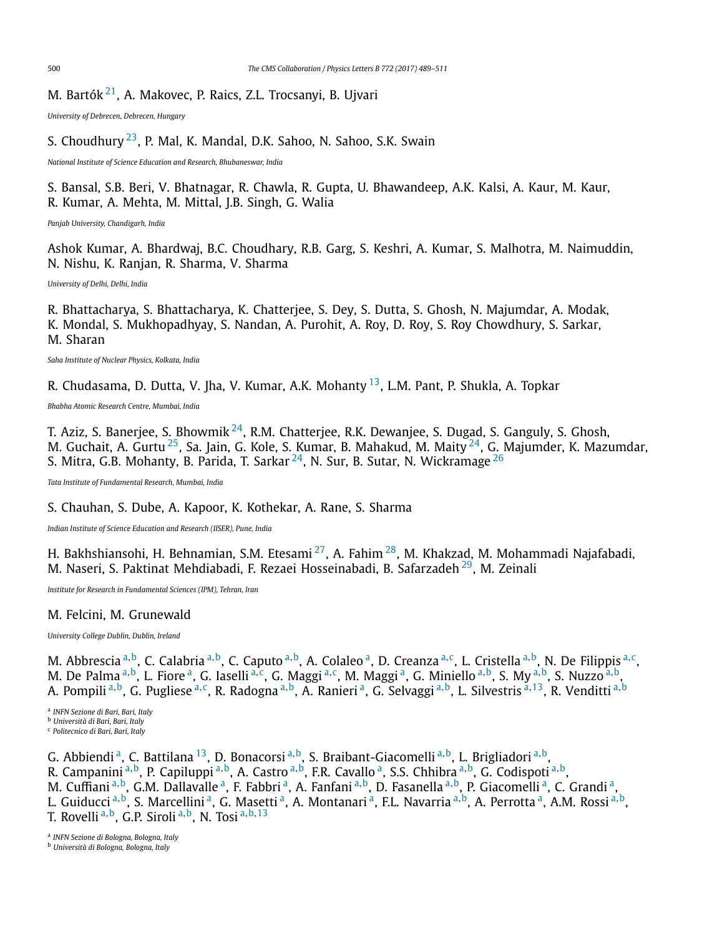# M. Bartók [21,](#page-21-0) A. Makovec, P. Raics, Z.L. Trocsanyi, B. Ujvari

*University of Debrecen, Debrecen, Hungary*

# S. Choudhury [23,](#page-21-0) P. Mal, K. Mandal, D.K. Sahoo, N. Sahoo, S.K. Swain

*National Institute of Science Education and Research, Bhubaneswar, India*

S. Bansal, S.B. Beri, V. Bhatnagar, R. Chawla, R. Gupta, U. Bhawandeep, A.K. Kalsi, A. Kaur, M. Kaur, R. Kumar, A. Mehta, M. Mittal, J.B. Singh, G. Walia

*Panjab University, Chandigarh, India*

Ashok Kumar, A. Bhardwaj, B.C. Choudhary, R.B. Garg, S. Keshri, A. Kumar, S. Malhotra, M. Naimuddin, N. Nishu, K. Ranjan, R. Sharma, V. Sharma

*University of Delhi, Delhi, India*

R. Bhattacharya, S. Bhattacharya, K. Chatterjee, S. Dey, S. Dutta, S. Ghosh, N. Majumdar, A. Modak, K. Mondal, S. Mukhopadhyay, S. Nandan, A. Purohit, A. Roy, D. Roy, S. Roy Chowdhury, S. Sarkar, M. Sharan

*Saha Institute of Nuclear Physics, Kolkata, India*

R. Chudasama, D. Dutta, V. Jha, V. Kumar, A.K. Mohanty [13,](#page-21-0) L.M. Pant, P. Shukla, A. Topkar

*Bhabha Atomic Research Centre, Mumbai, India*

T. Aziz, S. Banerjee, S. Bhowmik<sup>[24](#page-21-0)</sup>, R.M. Chatterjee, R.K. Dewanjee, S. Dugad, S. Ganguly, S. Ghosh, M. Guchait, A. Gurtu [25,](#page-21-0) Sa. Jain, G. Kole, S. Kumar, B. Mahakud, M. Maity [24,](#page-21-0) G. Majumder, K. Mazumdar, S. Mitra, G.B. Mohanty, B. Parida, T. Sarkar [24](#page-21-0), N. Sur, B. Sutar, N. Wickramage [26](#page-21-0)

*Tata Institute of Fundamental Research, Mumbai, India*

S. Chauhan, S. Dube, A. Kapoor, K. Kothekar, A. Rane, S. Sharma

*Indian Institute of Science Education and Research (IISER), Pune, India*

H. Bakhshiansohi, H. Behnamian, S.M. Etesami [27,](#page-21-0) A. Fahim [28,](#page-21-0) M. Khakzad, M. Mohammadi Najafabadi, M. Naseri, S. Paktinat Mehdiabadi, F. Rezaei Hosseinabadi, B. Safarzadeh [29,](#page-21-0) M. Zeinali

*Institute for Research in Fundamental Sciences (IPM), Tehran, Iran*

### M. Felcini, M. Grunewald

*University College Dublin, Dublin, Ireland*

M. Abbrescia <sup>a</sup>*,*b, C. Calabria <sup>a</sup>*,*b, C. Caputo <sup>a</sup>*,*b, A. Colaleo a, D. Creanza <sup>a</sup>*,*c, L. Cristella <sup>a</sup>*,*b, N. De Filippis <sup>a</sup>*,*c, M. De Palma <sup>a</sup>*,*b, L. Fiore a, G. Iaselli <sup>a</sup>*,*c, G. Maggi <sup>a</sup>*,*c, M. Maggi a, G. Miniello <sup>a</sup>*,*b, S. My <sup>a</sup>*,*b, S. Nuzzo <sup>a</sup>*,*b, A. Pompili <sup>a</sup>*,*b, G. Pugliese <sup>a</sup>*,*c, R. Radogna <sup>a</sup>*,*b, A. Ranieri a, G. Selvaggi <sup>a</sup>*,*b, L. Silvestris <sup>a</sup>*,*[13,](#page-21-0) R. Venditti <sup>a</sup>*,*<sup>b</sup>

<sup>a</sup> *INFN Sezione di Bari, Bari, Italy*

<sup>b</sup> *Università di Bari, Bari, Italy*

<sup>c</sup> *Politecnico di Bari, Bari, Italy*

G. Abbiendi a, C. Battilana [13,](#page-21-0) D. Bonacorsi <sup>a</sup>*,*b, S. Braibant-Giacomelli <sup>a</sup>*,*b, L. Brigliadori <sup>a</sup>*,*b, R. Campanini <sup>a</sup>*,*b, P. Capiluppi <sup>a</sup>*,*b, A. Castro <sup>a</sup>*,*b, F.R. Cavallo a, S.S. Chhibra <sup>a</sup>*,*b, G. Codispoti <sup>a</sup>*,*b, M. Cuffiani <sup>a,b</sup>, G.M. Dallavalle <sup>a</sup>, F. Fabbri <sup>a</sup>, A. Fanfani <sup>a,b</sup>, D. Fasanella <sup>a,b</sup>, P. Giacomelli <sup>a</sup>, C. Grandi <sup>a</sup>, L. Guiducci <sup>a,b</sup>, S. Marcellini <sup>a</sup>, G. Masetti <sup>a</sup>, A. Montanari <sup>a</sup>, F.L. Navarria <sup>a,b</sup>, A. Perrotta <sup>a</sup>, A.M. Rossi <sup>a,b</sup>, T. Rovelli <sup>a</sup>*,*b, G.P. Siroli <sup>a</sup>*,*b, N. Tosi <sup>a</sup>*,*b*,*[13](#page-21-0)

<sup>a</sup> *INFN Sezione di Bologna, Bologna, Italy*

<sup>b</sup> *Università di Bologna, Bologna, Italy*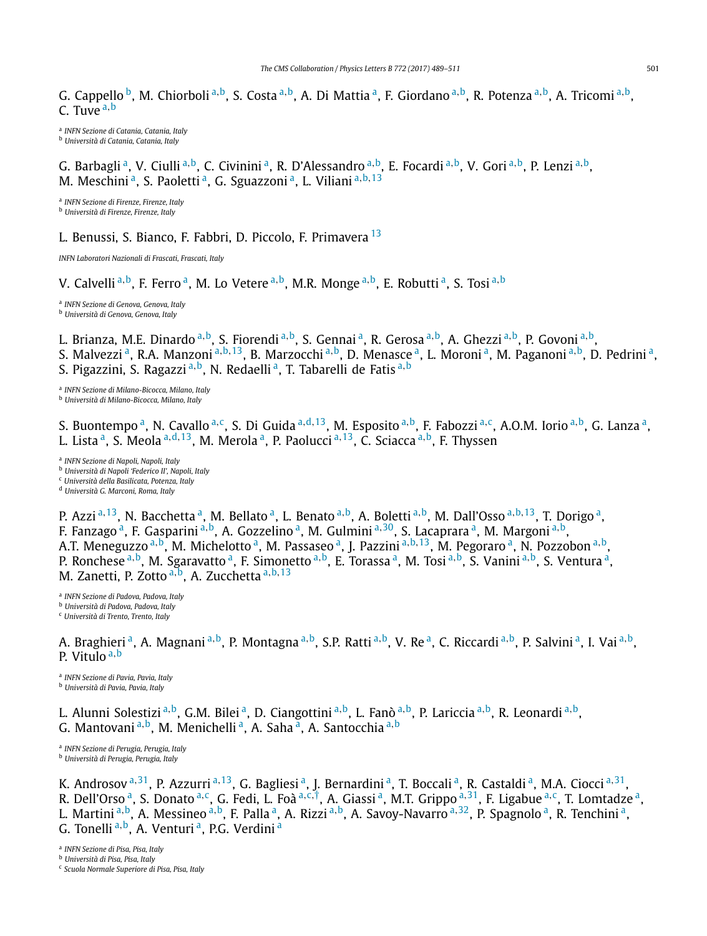G. Cappello b, M. Chiorboli <sup>a</sup>*,*b, S. Costa <sup>a</sup>*,*b, A. Di Mattia a, F. Giordano <sup>a</sup>*,*b, R. Potenza <sup>a</sup>*,*b, A. Tricomi <sup>a</sup>*,*b, C. Tuve <sup>a</sup>*,*<sup>b</sup>

<sup>a</sup> *INFN Sezione di Catania, Catania, Italy* <sup>b</sup> *Università di Catania, Catania, Italy*

G. Barbagli a, V. Ciulli <sup>a</sup>*,*b, C. Civinini a, R. D'Alessandro <sup>a</sup>*,*b, E. Focardi <sup>a</sup>*,*b, V. Gori <sup>a</sup>*,*b, P. Lenzi <sup>a</sup>*,*b, M. Meschini a, S. Paoletti a, G. Sguazzoni a, L. Viliani <sup>a</sup>*,*b*,*[13](#page-21-0)

<sup>a</sup> *INFN Sezione di Firenze, Firenze, Italy* <sup>b</sup> *Università di Firenze, Firenze, Italy*

L. Benussi, S. Bianco, F. Fabbri, D. Piccolo, F. Primavera [13](#page-21-0)

*INFN Laboratori Nazionali di Frascati, Frascati, Italy*

V. Calvelli<sup>a,b</sup>, F. Ferro<sup>a</sup>, M. Lo Vetere<sup>a,b</sup>, M.R. Monge<sup>a,b</sup>, E. Robutti<sup>a</sup>, S. Tosi<sup>a,b</sup>

<sup>a</sup> *INFN Sezione di Genova, Genova, Italy* <sup>b</sup> *Università di Genova, Genova, Italy*

L. Brianza, M.E. Dinardo <sup>a</sup>*,*b, S. Fiorendi <sup>a</sup>*,*b, S. Gennai a, R. Gerosa <sup>a</sup>*,*b, A. Ghezzi <sup>a</sup>*,*b, P. Govoni <sup>a</sup>*,*b, S. Malvezzi<sup>a</sup>, R.A. Manzoni<sup>a,b,[13](#page-21-0)</sup>, B. Marzocchi<sup>a,b</sup>, D. Menasce<sup>a</sup>, L. Moroni<sup>a</sup>, M. Paganoni<sup>a,b</sup>, D. Pedrini<sup>a</sup>, S. Pigazzini, S. Ragazzi <sup>a</sup>*,*b, N. Redaelli a, T. Tabarelli de Fatis <sup>a</sup>*,*<sup>b</sup>

<sup>a</sup> *INFN Sezione di Milano-Bicocca, Milano, Italy*

<sup>b</sup> *Università di Milano-Bicocca, Milano, Italy*

S. Buontempo a, N. Cavallo <sup>a</sup>*,*c, S. Di Guida <sup>a</sup>*,*d*,*[13,](#page-21-0) M. Esposito <sup>a</sup>*,*b, F. Fabozzi <sup>a</sup>*,*c, A.O.M. Iorio <sup>a</sup>*,*b, G. Lanza a, L. Lista a, S. Meola <sup>a</sup>*,*d*,*[13,](#page-21-0) M. Merola a, P. Paolucci <sup>a</sup>*,*[13,](#page-21-0) C. Sciacca <sup>a</sup>*,*b, F. Thyssen

<sup>a</sup> *INFN Sezione di Napoli, Napoli, Italy*

<sup>b</sup> *Università di Napoli 'Federico II', Napoli, Italy*

<sup>c</sup> *Università della Basilicata, Potenza, Italy* <sup>d</sup> *Università G. Marconi, Roma, Italy*

P. Azzi <sup>a</sup>*,*[13,](#page-21-0) N. Bacchetta a, M. Bellato a, L. Benato <sup>a</sup>*,*b, A. Boletti <sup>a</sup>*,*b, M. Dall'Osso <sup>a</sup>*,*b*,*[13,](#page-21-0) T. Dorigo a, F. Fanzago a, F. Gasparini <sup>a</sup>*,*b, A. Gozzelino a, M. Gulmini <sup>a</sup>*,*[30,](#page-21-0) S. Lacaprara a, M. Margoni <sup>a</sup>*,*b, A.T. Meneguzzo a,b, M. Michelotto a, M. Passaseo a, J. Pazzini a,b,[13,](#page-21-0) M. Pegoraro a, N. Pozzobon a,b, P. Ronchese a, b, M. Sgaravatto a, F. Simonetto a, b, E. Torassa a, M. Tosi a, b, S. Vanini a, b, S. Ventura a, M. Zanetti, P. Zotto <sup>a</sup>*,*b, A. Zucchetta <sup>a</sup>*,*b*,*[13](#page-21-0)

<sup>a</sup> *INFN Sezione di Padova, Padova, Italy*

<sup>b</sup> *Università di Padova, Padova, Italy*

<sup>c</sup> *Università di Trento, Trento, Italy*

A. Braghieri a, A. Magnani <sup>a</sup>*,*b, P. Montagna <sup>a</sup>*,*b, S.P. Ratti <sup>a</sup>*,*b, V. Re a, C. Riccardi <sup>a</sup>*,*b, P. Salvini a, I. Vai <sup>a</sup>*,*b, P. Vitulo <sup>a</sup>*,*<sup>b</sup>

<sup>a</sup> *INFN Sezione di Pavia, Pavia, Italy* <sup>b</sup> *Università di Pavia, Pavia, Italy*

L. Alunni Solestizi <sup>a</sup>*,*b, G.M. Bilei a, D. Ciangottini <sup>a</sup>*,*b, L. Fanò <sup>a</sup>*,*b, P. Lariccia <sup>a</sup>*,*b, R. Leonardi <sup>a</sup>*,*b, G. Mantovani <sup>a</sup>*,*b, M. Menichelli a, A. Saha a, A. Santocchia <sup>a</sup>*,*<sup>b</sup>

<sup>a</sup> *INFN Sezione di Perugia, Perugia, Italy* <sup>b</sup> *Università di Perugia, Perugia, Italy*

K. Androsov <sup>a,31</sup>, P. Azzurri <sup>a,13</sup>, G. Bagliesi <sup>a</sup>, J. Bernardini <sup>a</sup>, T. Boccali <sup>a</sup>, R. Castaldi <sup>a</sup>, M.A. Ciocci <sup>a,31</sup>, R. Dell'Orso a, S. Donato <sup>a</sup>*,*c, G. Fedi, L. Foà <sup>a</sup>*,*c*,*[†,](#page-21-0) A. Giassi a, M.T. Grippo <sup>a</sup>*,*[31,](#page-21-0) F. Ligabue <sup>a</sup>*,*c, T. Lomtadze a, L. Martini <sup>a</sup>*,*b, A. Messineo <sup>a</sup>*,*b, F. Palla a, A. Rizzi <sup>a</sup>*,*b, A. Savoy-Navarro <sup>a</sup>*,*[32,](#page-21-0) P. Spagnolo a, R. Tenchini a, G. Tonelli a, b, A. Venturi a, P.G. Verdini a

<sup>a</sup> *INFN Sezione di Pisa, Pisa, Italy*

<sup>b</sup> *Università di Pisa, Pisa, Italy*

<sup>c</sup> *Scuola Normale Superiore di Pisa, Pisa, Italy*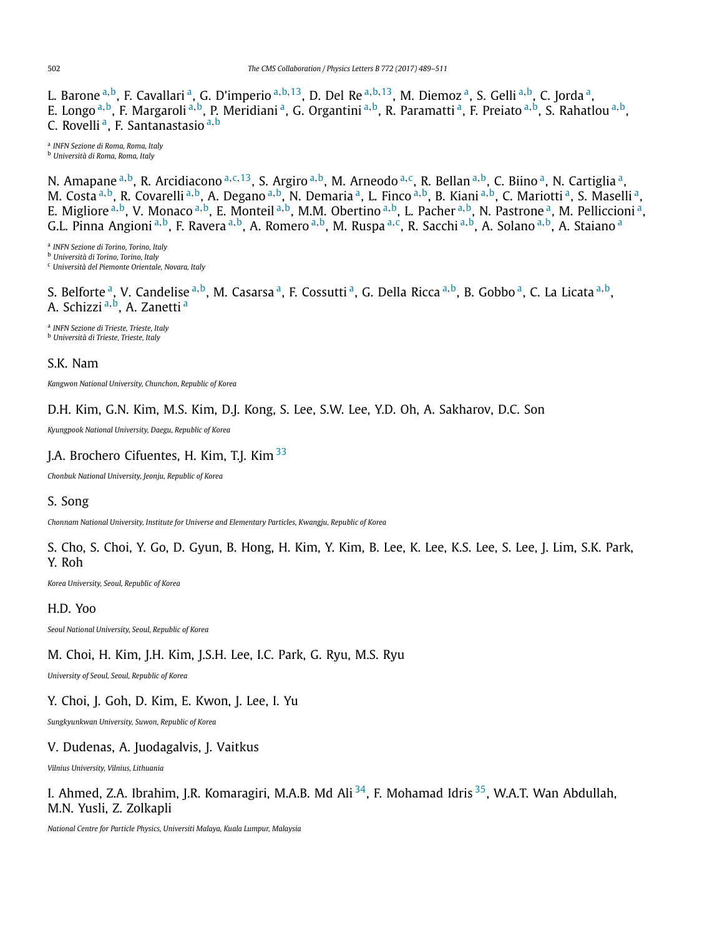L. Barone <sup>a</sup>*,*b, F. Cavallari a, G. D'imperio <sup>a</sup>*,*b*,*[13](#page-21-0), D. Del Re <sup>a</sup>*,*b*,*[13,](#page-21-0) M. Diemoz a, S. Gelli <sup>a</sup>*,*b, C. Jorda a, E. Longo <sup>a</sup>*,*b, F. Margaroli <sup>a</sup>*,*b, P. Meridiani a, G. Organtini <sup>a</sup>*,*b, R. Paramatti a, F. Preiato <sup>a</sup>*,*b, S. Rahatlou <sup>a</sup>*,*b, C. Rovelli a, F. Santanastasio <sup>a</sup>*,*<sup>b</sup>

<sup>a</sup> *INFN Sezione di Roma, Roma, Italy* <sup>b</sup> *Università di Roma, Roma, Italy*

N. Amapane <sup>a</sup>*,*b, R. Arcidiacono <sup>a</sup>*,*c*,*[13,](#page-21-0) S. Argiro <sup>a</sup>*,*b, M. Arneodo <sup>a</sup>*,*c, R. Bellan <sup>a</sup>*,*b, C. Biino a, N. Cartiglia a, M. Costa <sup>a</sup>*,*b, R. Covarelli <sup>a</sup>*,*b, A. Degano <sup>a</sup>*,*b, N. Demaria a, L. Finco <sup>a</sup>*,*b, B. Kiani <sup>a</sup>*,*b, C. Mariotti a, S. Maselli a, E. Migliore <sup>a</sup>*,*b, V. Monaco <sup>a</sup>*,*b, E. Monteil <sup>a</sup>*,*b, M.M. Obertino <sup>a</sup>*,*b, L. Pacher <sup>a</sup>*,*b, N. Pastrone a, M. Pelliccioni a, G.L. Pinna Angioni <sup>a</sup>*,*b, F. Ravera <sup>a</sup>*,*b, A. Romero <sup>a</sup>*,*b, M. Ruspa <sup>a</sup>*,*c, R. Sacchi <sup>a</sup>*,*b, A. Solano <sup>a</sup>*,*b, A. Staiano <sup>a</sup>

<sup>a</sup> *INFN Sezione di Torino, Torino, Italy*

<sup>b</sup> *Università di Torino, Torino, Italy*

<sup>c</sup> *Università del Piemonte Orientale, Novara, Italy*

S. Belforte a, V. Candelise <sup>a</sup>*,*b, M. Casarsa a, F. Cossutti a, G. Della Ricca <sup>a</sup>*,*b, B. Gobbo a, C. La Licata <sup>a</sup>*,*b, A. Schizzi <sup>a</sup>*,*b, A. Zanetti <sup>a</sup>

<sup>a</sup> *INFN Sezione di Trieste, Trieste, Italy*

<sup>b</sup> *Università di Trieste, Trieste, Italy*

### S.K. Nam

*Kangwon National University, Chunchon, Republic of Korea*

# D.H. Kim, G.N. Kim, M.S. Kim, D.J. Kong, S. Lee, S.W. Lee, Y.D. Oh, A. Sakharov, D.C. Son

*Kyungpook National University, Daegu, Republic of Korea*

# J.A. Brochero Cifuentes, H. Kim, T.J. Kim<sup>[33](#page-21-0)</sup>

*Chonbuk National University, Jeonju, Republic of Korea*

### S. Song

*Chonnam National University, Institute for Universe and Elementary Particles, Kwangju, Republic of Korea*

# S. Cho, S. Choi, Y. Go, D. Gyun, B. Hong, H. Kim, Y. Kim, B. Lee, K. Lee, K.S. Lee, S. Lee, J. Lim, S.K. Park, Y. Roh

*Korea University, Seoul, Republic of Korea*

### H.D. Yoo

*Seoul National University, Seoul, Republic of Korea*

# M. Choi, H. Kim, J.H. Kim, J.S.H. Lee, I.C. Park, G. Ryu, M.S. Ryu

*University of Seoul, Seoul, Republic of Korea*

# Y. Choi, J. Goh, D. Kim, E. Kwon, J. Lee, I. Yu

*Sungkyunkwan University, Suwon, Republic of Korea*

### V. Dudenas, A. Juodagalvis, J. Vaitkus

*Vilnius University, Vilnius, Lithuania*

# I. Ahmed, Z.A. Ibrahim, J.R. Komaragiri, M.A.B. Md Ali  $^{34}$ , F. Mohamad Idris  $^{35}$ , W.A.T. Wan Abdullah, M.N. Yusli, Z. Zolkapli

*National Centre for Particle Physics, Universiti Malaya, Kuala Lumpur, Malaysia*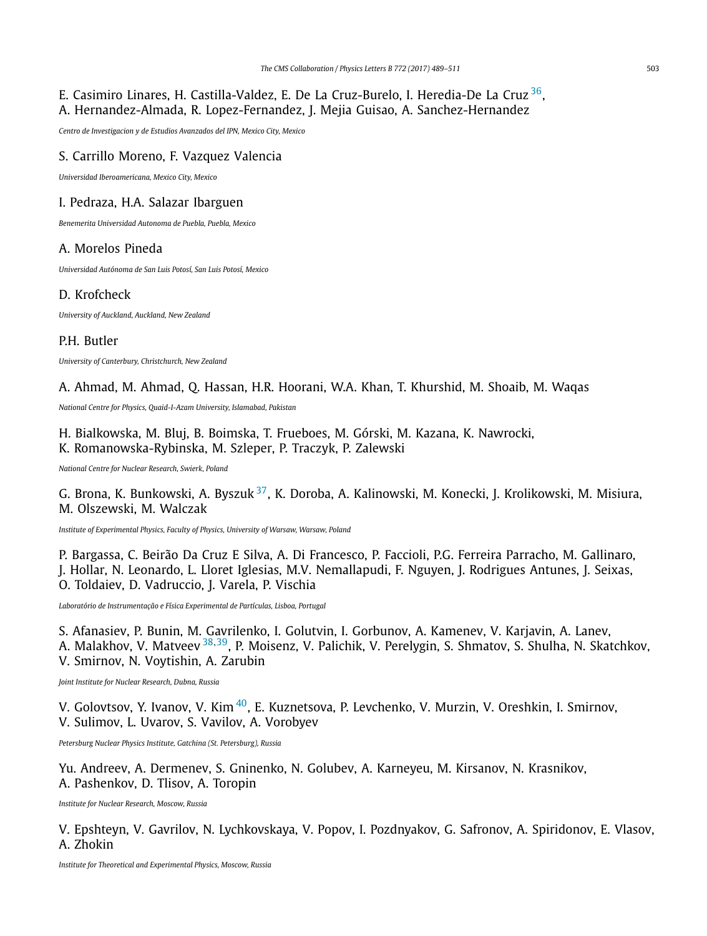# E. Casimiro Linares, H. Castilla-Valdez, E. De La Cruz-Burelo, I. Heredia-De La Cruz<sup>36</sup>, A. Hernandez-Almada, R. Lopez-Fernandez, J. Mejia Guisao, A. Sanchez-Hernandez

*Centro de Investigacion y de Estudios Avanzados del IPN, Mexico City, Mexico*

# S. Carrillo Moreno, F. Vazquez Valencia

*Universidad Iberoamericana, Mexico City, Mexico*

# I. Pedraza, H.A. Salazar Ibarguen

*Benemerita Universidad Autonoma de Puebla, Puebla, Mexico*

# A. Morelos Pineda

*Universidad Autónoma de San Luis Potosí, San Luis Potosí, Mexico*

# D. Krofcheck

*University of Auckland, Auckland, New Zealand*

# P.H. Butler

*University of Canterbury, Christchurch, New Zealand*

A. Ahmad, M. Ahmad, Q. Hassan, H.R. Hoorani, W.A. Khan, T. Khurshid, M. Shoaib, M. Waqas

*National Centre for Physics, Quaid-I-Azam University, Islamabad, Pakistan*

H. Bialkowska, M. Bluj, B. Boimska, T. Frueboes, M. Górski, M. Kazana, K. Nawrocki, K. Romanowska-Rybinska, M. Szleper, P. Traczyk, P. Zalewski

*National Centre for Nuclear Research, Swierk, Poland*

G. Brona, K. Bunkowski, A. Byszuk [37,](#page-21-0) K. Doroba, A. Kalinowski, M. Konecki, J. Krolikowski, M. Misiura, M. Olszewski, M. Walczak

*Institute of Experimental Physics, Faculty of Physics, University of Warsaw, Warsaw, Poland*

P. Bargassa, C. Beirão Da Cruz E Silva, A. Di Francesco, P. Faccioli, P.G. Ferreira Parracho, M. Gallinaro, J. Hollar, N. Leonardo, L. Lloret Iglesias, M.V. Nemallapudi, F. Nguyen, J. Rodrigues Antunes, J. Seixas, O. Toldaiev, D. Vadruccio, J. Varela, P. Vischia

*Laboratório de Instrumentação e Física Experimental de Partículas, Lisboa, Portugal*

S. Afanasiev, P. Bunin, M. Gavrilenko, I. Golutvin, I. Gorbunov, A. Kamenev, V. Karjavin, A. Lanev, A. Malakhov, V. Matveev [38](#page-21-0)*,*[39](#page-21-0), P. Moisenz, V. Palichik, V. Perelygin, S. Shmatov, S. Shulha, N. Skatchkov, V. Smirnov, N. Voytishin, A. Zarubin

*Joint Institute for Nuclear Research, Dubna, Russia*

V. Golovtsov, Y. Ivanov, V. Kim<sup>40</sup>, E. Kuznetsova, P. Levchenko, V. Murzin, V. Oreshkin, I. Smirnov, V. Sulimov, L. Uvarov, S. Vavilov, A. Vorobyev

*Petersburg Nuclear Physics Institute, Gatchina (St. Petersburg), Russia*

Yu. Andreev, A. Dermenev, S. Gninenko, N. Golubev, A. Karneyeu, M. Kirsanov, N. Krasnikov, A. Pashenkov, D. Tlisov, A. Toropin

*Institute for Nuclear Research, Moscow, Russia*

V. Epshteyn, V. Gavrilov, N. Lychkovskaya, V. Popov, I. Pozdnyakov, G. Safronov, A. Spiridonov, E. Vlasov, A. Zhokin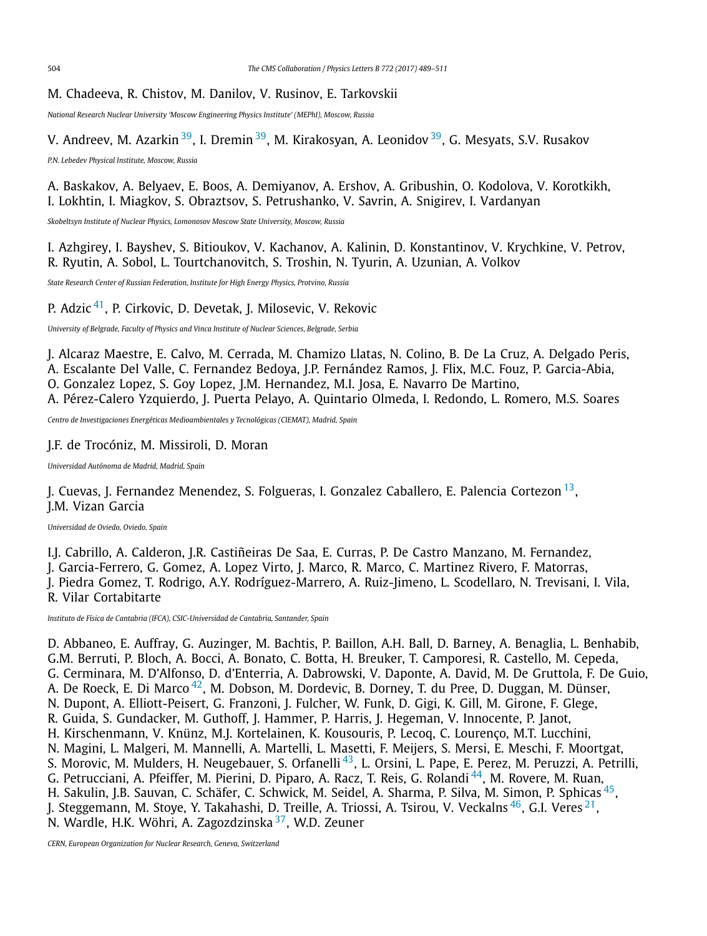# M. Chadeeva, R. Chistov, M. Danilov, V. Rusinov, E. Tarkovskii

*National Research Nuclear University 'Moscow Engineering Physics Institute' (MEPhI), Moscow, Russia*

# V. Andreev, M. Azarkin <sup>39</sup>, I. Dremin <sup>39</sup>, M. Kirakosyan, A. Leonidov <sup>39</sup>, G. Mesyats, S.V. Rusakov

*P.N. Lebedev Physical Institute, Moscow, Russia*

A. Baskakov, A. Belyaev, E. Boos, A. Demiyanov, A. Ershov, A. Gribushin, O. Kodolova, V. Korotkikh, I. Lokhtin, I. Miagkov, S. Obraztsov, S. Petrushanko, V. Savrin, A. Snigirev, I. Vardanyan

*Skobeltsyn Institute of Nuclear Physics, Lomonosov Moscow State University, Moscow, Russia*

I. Azhgirey, I. Bayshev, S. Bitioukov, V. Kachanov, A. Kalinin, D. Konstantinov, V. Krychkine, V. Petrov, R. Ryutin, A. Sobol, L. Tourtchanovitch, S. Troshin, N. Tyurin, A. Uzunian, A. Volkov

*State Research Center of Russian Federation, Institute for High Energy Physics, Protvino, Russia*

# P. Adzic [41,](#page-21-0) P. Cirkovic, D. Devetak, J. Milosevic, V. Rekovic

*University of Belgrade, Faculty of Physics and Vinca Institute of Nuclear Sciences, Belgrade, Serbia*

J. Alcaraz Maestre, E. Calvo, M. Cerrada, M. Chamizo Llatas, N. Colino, B. De La Cruz, A. Delgado Peris, A. Escalante Del Valle, C. Fernandez Bedoya, J.P. Fernández Ramos, J. Flix, M.C. Fouz, P. Garcia-Abia, O. Gonzalez Lopez, S. Goy Lopez, J.M. Hernandez, M.I. Josa, E. Navarro De Martino, A. Pérez-Calero Yzquierdo, J. Puerta Pelayo, A. Quintario Olmeda, I. Redondo, L. Romero, M.S. Soares

*Centro de Investigaciones Energéticas Medioambientales y Tecnológicas (CIEMAT), Madrid, Spain*

## J.F. de Trocóniz, M. Missiroli, D. Moran

*Universidad Autónoma de Madrid, Madrid, Spain*

J. Cuevas, J. Fernandez Menendez, S. Folgueras, I. Gonzalez Caballero, E. Palencia Cortezon<sup>13</sup>. J.M. Vizan Garcia

*Universidad de Oviedo, Oviedo, Spain*

I.J. Cabrillo, A. Calderon, J.R. Castiñeiras De Saa, E. Curras, P. De Castro Manzano, M. Fernandez, J. Garcia-Ferrero, G. Gomez, A. Lopez Virto, J. Marco, R. Marco, C. Martinez Rivero, F. Matorras, J. Piedra Gomez, T. Rodrigo, A.Y. Rodríguez-Marrero, A. Ruiz-Jimeno, L. Scodellaro, N. Trevisani, I. Vila, R. Vilar Cortabitarte

*Instituto de Física de Cantabria (IFCA), CSIC-Universidad de Cantabria, Santander, Spain*

D. Abbaneo, E. Auffray, G. Auzinger, M. Bachtis, P. Baillon, A.H. Ball, D. Barney, A. Benaglia, L. Benhabib, G.M. Berruti, P. Bloch, A. Bocci, A. Bonato, C. Botta, H. Breuker, T. Camporesi, R. Castello, M. Cepeda, G. Cerminara, M. D'Alfonso, D. d'Enterria, A. Dabrowski, V. Daponte, A. David, M. De Gruttola, F. De Guio, A. De Roeck, E. Di Marco<sup>42</sup>, M. Dobson, M. Dordevic, B. Dorney, T. du Pree, D. Duggan, M. Dünser, N. Dupont, A. Elliott-Peisert, G. Franzoni, J. Fulcher, W. Funk, D. Gigi, K. Gill, M. Girone, F. Glege, R. Guida, S. Gundacker, M. Guthoff, J. Hammer, P. Harris, J. Hegeman, V. Innocente, P. Janot, H. Kirschenmann, V. Knünz, M.J. Kortelainen, K. Kousouris, P. Lecoq, C. Lourenço, M.T. Lucchini, N. Magini, L. Malgeri, M. Mannelli, A. Martelli, L. Masetti, F. Meijers, S. Mersi, E. Meschi, F. Moortgat, S. Morovic, M. Mulders, H. Neugebauer, S. Orfanelli<sup>43</sup>, L. Orsini, L. Pape, E. Perez, M. Peruzzi, A. Petrilli, G. Petrucciani, A. Pfeiffer, M. Pierini, D. Piparo, A. Racz, T. Reis, G. Rolandi [44,](#page-21-0) M. Rovere, M. Ruan, H. Sakulin, J.B. Sauvan, C. Schäfer, C. Schwick, M. Seidel, A. Sharma, P. Silva, M. Simon, P. Sphicas<sup>45</sup>, J. Steggemann, M. Stoye, Y. Takahashi, D. Treille, A. Triossi, A. Tsirou, V. Veckalns <sup>46</sup>, G.I. Veres <sup>21</sup>, N. Wardle, H.K. Wöhri, A. Zagozdzinska [37,](#page-21-0) W.D. Zeuner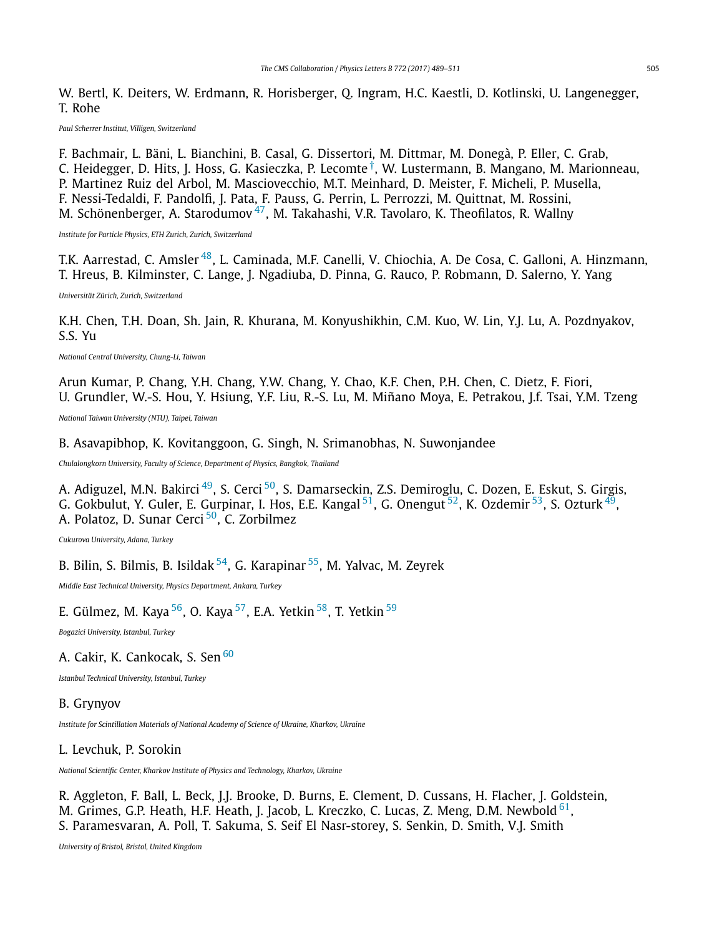W. Bertl, K. Deiters, W. Erdmann, R. Horisberger, Q. Ingram, H.C. Kaestli, D. Kotlinski, U. Langenegger, T. Rohe

*Paul Scherrer Institut, Villigen, Switzerland*

F. Bachmair, L. Bäni, L. Bianchini, B. Casal, G. Dissertori, M. Dittmar, M. Donegà, P. Eller, C. Grab, C. Heidegger, D. Hits, J. Hoss, G. Kasieczka, P. Lecomte [†,](#page-21-0) W. Lustermann, B. Mangano, M. Marionneau, P. Martinez Ruiz del Arbol, M. Masciovecchio, M.T. Meinhard, D. Meister, F. Micheli, P. Musella, F. Nessi-Tedaldi, F. Pandolfi, J. Pata, F. Pauss, G. Perrin, L. Perrozzi, M. Quittnat, M. Rossini, M. Schönenberger, A. Starodumov<sup>47</sup>, M. Takahashi, V.R. Tavolaro, K. Theofilatos, R. Wallny

*Institute for Particle Physics, ETH Zurich, Zurich, Switzerland*

T.K. Aarrestad, C. Amsler<sup>48</sup>, L. Caminada, M.F. Canelli, V. Chiochia, A. De Cosa, C. Galloni, A. Hinzmann, T. Hreus, B. Kilminster, C. Lange, J. Ngadiuba, D. Pinna, G. Rauco, P. Robmann, D. Salerno, Y. Yang

*Universität Zürich, Zurich, Switzerland*

K.H. Chen, T.H. Doan, Sh. Jain, R. Khurana, M. Konyushikhin, C.M. Kuo, W. Lin, Y.J. Lu, A. Pozdnyakov, S.S. Yu

*National Central University, Chung-Li, Taiwan*

Arun Kumar, P. Chang, Y.H. Chang, Y.W. Chang, Y. Chao, K.F. Chen, P.H. Chen, C. Dietz, F. Fiori, U. Grundler, W.-S. Hou, Y. Hsiung, Y.F. Liu, R.-S. Lu, M. Miñano Moya, E. Petrakou, J.f. Tsai, Y.M. Tzeng

*National Taiwan University (NTU), Taipei, Taiwan*

B. Asavapibhop, K. Kovitanggoon, G. Singh, N. Srimanobhas, N. Suwonjandee

*Chulalongkorn University, Faculty of Science, Department of Physics, Bangkok, Thailand*

A. Adiguzel, M.N. Bakirci<sup>49</sup>, S. Cerci<sup>50</sup>, S. Damarseckin, Z.S. Demiroglu, C. Dozen, E. Eskut, S. Girgis, G. Gokbulut, Y. Guler, E. Gurpinar, I. Hos, E.E. Kangal  $51$ , G. Onengut  $52$ , K. Ozdemir  $53$ , S. Ozturk  $49$ , A. Polatoz, D. Sunar Cerci<sup>50</sup>, C. Zorbilmez

*Cukurova University, Adana, Turkey*

B. Bilin, S. Bilmis, B. Isildak  $54$ , G. Karapinar  $55$ , M. Yalvac, M. Zeyrek

*Middle East Technical University, Physics Department, Ankara, Turkey*

E. Gülmez, M. Kaya  $^{56}$ , O. Kaya  $^{57}$ , E.A. Yetkin  $^{58}$ , T. Yetkin  $^{59}$  $^{59}$  $^{59}$ 

*Bogazici University, Istanbul, Turkey*

A. Cakir, K. Cankocak, S. Sen <sup>[60](#page-22-0)</sup>

*Istanbul Technical University, Istanbul, Turkey*

# B. Grynyov

*Institute for Scintillation Materials of National Academy of Science of Ukraine, Kharkov, Ukraine*

# L. Levchuk, P. Sorokin

*National Scientific Center, Kharkov Institute of Physics and Technology, Kharkov, Ukraine*

R. Aggleton, F. Ball, L. Beck, J.J. Brooke, D. Burns, E. Clement, D. Cussans, H. Flacher, J. Goldstein, M. Grimes, G.P. Heath, H.F. Heath, J. Jacob, L. Kreczko, C. Lucas, Z. Meng, D.M. Newbold  $61$ , S. Paramesvaran, A. Poll, T. Sakuma, S. Seif El Nasr-storey, S. Senkin, D. Smith, V.J. Smith

*University of Bristol, Bristol, United Kingdom*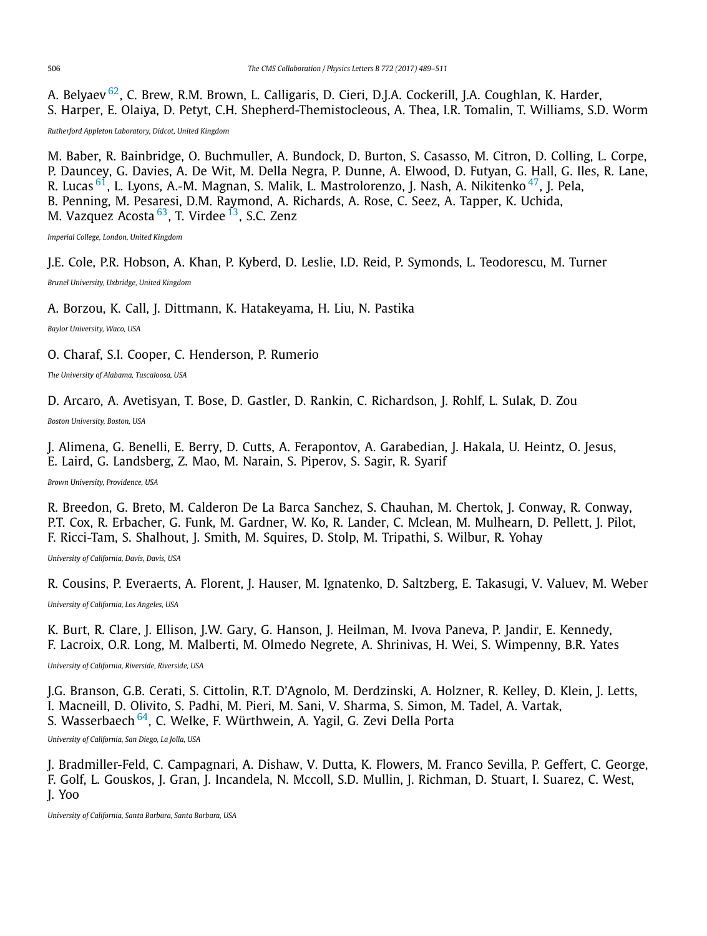A. Belyaev [62,](#page-22-0) C. Brew, R.M. Brown, L. Calligaris, D. Cieri, D.J.A. Cockerill, J.A. Coughlan, K. Harder, S. Harper, E. Olaiya, D. Petyt, C.H. Shepherd-Themistocleous, A. Thea, I.R. Tomalin, T. Williams, S.D. Worm

*Rutherford Appleton Laboratory, Didcot, United Kingdom*

M. Baber, R. Bainbridge, O. Buchmuller, A. Bundock, D. Burton, S. Casasso, M. Citron, D. Colling, L. Corpe, P. Dauncey, G. Davies, A. De Wit, M. Della Negra, P. Dunne, A. Elwood, D. Futyan, G. Hall, G. Iles, R. Lane, R. Lucas<sup>61</sup>, L. Lyons, A.-M. Magnan, S. Malik, L. Mastrolorenzo, J. Nash, A. Nikitenko<sup>47</sup>, J. Pela, B. Penning, M. Pesaresi, D.M. Raymond, A. Richards, A. Rose, C. Seez, A. Tapper, K. Uchida, M. Vazquez Acosta<sup>63</sup>, T. Virdee<sup>13</sup>, S.C. Zenz

*Imperial College, London, United Kingdom*

J.E. Cole, P.R. Hobson, A. Khan, P. Kyberd, D. Leslie, I.D. Reid, P. Symonds, L. Teodorescu, M. Turner

*Brunel University, Uxbridge, United Kingdom*

# A. Borzou, K. Call, J. Dittmann, K. Hatakeyama, H. Liu, N. Pastika

*Baylor University, Waco, USA*

# O. Charaf, S.I. Cooper, C. Henderson, P. Rumerio

*The University of Alabama, Tuscaloosa, USA*

D. Arcaro, A. Avetisyan, T. Bose, D. Gastler, D. Rankin, C. Richardson, J. Rohlf, L. Sulak, D. Zou

*Boston University, Boston, USA*

J. Alimena, G. Benelli, E. Berry, D. Cutts, A. Ferapontov, A. Garabedian, J. Hakala, U. Heintz, O. Jesus, E. Laird, G. Landsberg, Z. Mao, M. Narain, S. Piperov, S. Sagir, R. Syarif

*Brown University, Providence, USA*

R. Breedon, G. Breto, M. Calderon De La Barca Sanchez, S. Chauhan, M. Chertok, J. Conway, R. Conway, P.T. Cox, R. Erbacher, G. Funk, M. Gardner, W. Ko, R. Lander, C. Mclean, M. Mulhearn, D. Pellett, J. Pilot, F. Ricci-Tam, S. Shalhout, J. Smith, M. Squires, D. Stolp, M. Tripathi, S. Wilbur, R. Yohay

*University of California, Davis, Davis, USA*

R. Cousins, P. Everaerts, A. Florent, J. Hauser, M. Ignatenko, D. Saltzberg, E. Takasugi, V. Valuev, M. Weber

*University of California, Los Angeles, USA*

K. Burt, R. Clare, J. Ellison, J.W. Gary, G. Hanson, J. Heilman, M. Ivova Paneva, P. Jandir, E. Kennedy, F. Lacroix, O.R. Long, M. Malberti, M. Olmedo Negrete, A. Shrinivas, H. Wei, S. Wimpenny, B.R. Yates

*University of California, Riverside, Riverside, USA*

J.G. Branson, G.B. Cerati, S. Cittolin, R.T. D'Agnolo, M. Derdzinski, A. Holzner, R. Kelley, D. Klein, J. Letts, I. Macneill, D. Olivito, S. Padhi, M. Pieri, M. Sani, V. Sharma, S. Simon, M. Tadel, A. Vartak, S. Wasserbaech [64](#page-22-0), C. Welke, F. Würthwein, A. Yagil, G. Zevi Della Porta

*University of California, San Diego, La Jolla, USA*

J. Bradmiller-Feld, C. Campagnari, A. Dishaw, V. Dutta, K. Flowers, M. Franco Sevilla, P. Geffert, C. George, F. Golf, L. Gouskos, J. Gran, J. Incandela, N. Mccoll, S.D. Mullin, J. Richman, D. Stuart, I. Suarez, C. West, J. Yoo

*University of California, Santa Barbara, Santa Barbara, USA*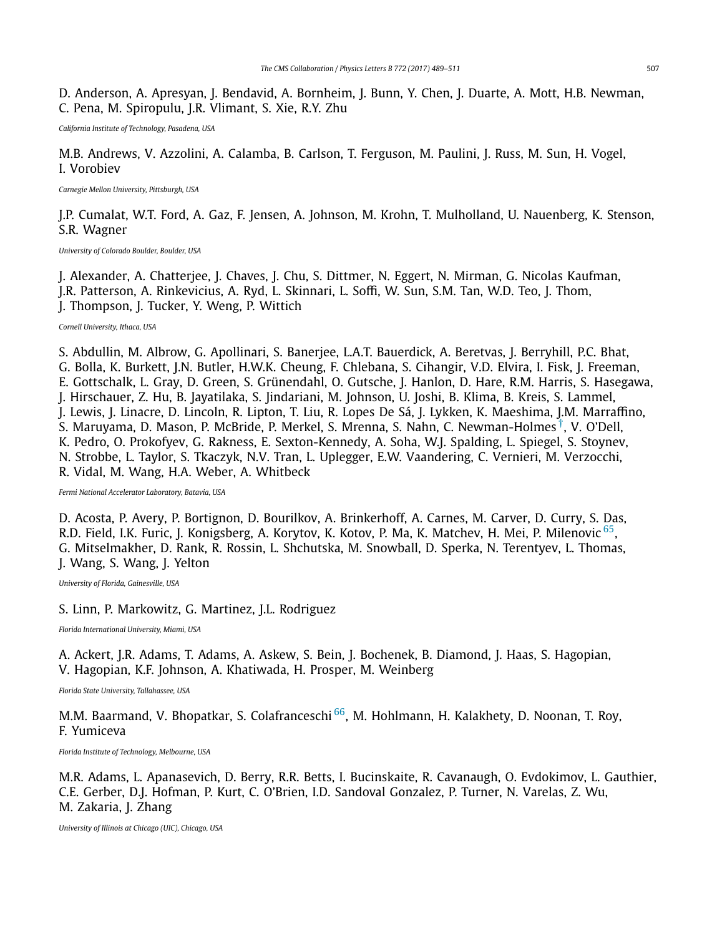D. Anderson, A. Apresyan, J. Bendavid, A. Bornheim, J. Bunn, Y. Chen, J. Duarte, A. Mott, H.B. Newman, C. Pena, M. Spiropulu, J.R. Vlimant, S. Xie, R.Y. Zhu

*California Institute of Technology, Pasadena, USA*

M.B. Andrews, V. Azzolini, A. Calamba, B. Carlson, T. Ferguson, M. Paulini, J. Russ, M. Sun, H. Vogel, I. Vorobiev

*Carnegie Mellon University, Pittsburgh, USA*

J.P. Cumalat, W.T. Ford, A. Gaz, F. Jensen, A. Johnson, M. Krohn, T. Mulholland, U. Nauenberg, K. Stenson, S.R. Wagner

*University of Colorado Boulder, Boulder, USA*

J. Alexander, A. Chatterjee, J. Chaves, J. Chu, S. Dittmer, N. Eggert, N. Mirman, G. Nicolas Kaufman, J.R. Patterson, A. Rinkevicius, A. Ryd, L. Skinnari, L. Soffi, W. Sun, S.M. Tan, W.D. Teo, J. Thom, J. Thompson, J. Tucker, Y. Weng, P. Wittich

*Cornell University, Ithaca, USA*

S. Abdullin, M. Albrow, G. Apollinari, S. Banerjee, L.A.T. Bauerdick, A. Beretvas, J. Berryhill, P.C. Bhat, G. Bolla, K. Burkett, J.N. Butler, H.W.K. Cheung, F. Chlebana, S. Cihangir, V.D. Elvira, I. Fisk, J. Freeman, E. Gottschalk, L. Gray, D. Green, S. Grünendahl, O. Gutsche, J. Hanlon, D. Hare, R.M. Harris, S. Hasegawa, J. Hirschauer, Z. Hu, B. Jayatilaka, S. Jindariani, M. Johnson, U. Joshi, B. Klima, B. Kreis, S. Lammel, J. Lewis, J. Linacre, D. Lincoln, R. Lipton, T. Liu, R. Lopes De Sá, J. Lykken, K. Maeshima, J.M. Marraffino, S. Maruyama, D. Mason, P. McBride, P. Merkel, S. Mrenna, S. Nahn, C. Newman-Holmes [†,](#page-21-0) V. O'Dell, K. Pedro, O. Prokofyev, G. Rakness, E. Sexton-Kennedy, A. Soha, W.J. Spalding, L. Spiegel, S. Stoynev, N. Strobbe, L. Taylor, S. Tkaczyk, N.V. Tran, L. Uplegger, E.W. Vaandering, C. Vernieri, M. Verzocchi, R. Vidal, M. Wang, H.A. Weber, A. Whitbeck

*Fermi National Accelerator Laboratory, Batavia, USA*

D. Acosta, P. Avery, P. Bortignon, D. Bourilkov, A. Brinkerhoff, A. Carnes, M. Carver, D. Curry, S. Das, R.D. Field, I.K. Furic, J. Konigsberg, A. Korytov, K. Kotov, P. Ma, K. Matchev, H. Mei, P. Milenovic <sup>65</sup>, G. Mitselmakher, D. Rank, R. Rossin, L. Shchutska, M. Snowball, D. Sperka, N. Terentyev, L. Thomas, J. Wang, S. Wang, J. Yelton

*University of Florida, Gainesville, USA*

S. Linn, P. Markowitz, G. Martinez, J.L. Rodriguez

*Florida International University, Miami, USA*

A. Ackert, J.R. Adams, T. Adams, A. Askew, S. Bein, J. Bochenek, B. Diamond, J. Haas, S. Hagopian, V. Hagopian, K.F. Johnson, A. Khatiwada, H. Prosper, M. Weinberg

*Florida State University, Tallahassee, USA*

M.M. Baarmand, V. Bhopatkar, S. Colafranceschi <sup>66</sup>, M. Hohlmann, H. Kalakhety, D. Noonan, T. Roy, F. Yumiceva

*Florida Institute of Technology, Melbourne, USA*

M.R. Adams, L. Apanasevich, D. Berry, R.R. Betts, I. Bucinskaite, R. Cavanaugh, O. Evdokimov, L. Gauthier, C.E. Gerber, D.J. Hofman, P. Kurt, C. O'Brien, I.D. Sandoval Gonzalez, P. Turner, N. Varelas, Z. Wu, M. Zakaria, J. Zhang

*University of Illinois at Chicago (UIC), Chicago, USA*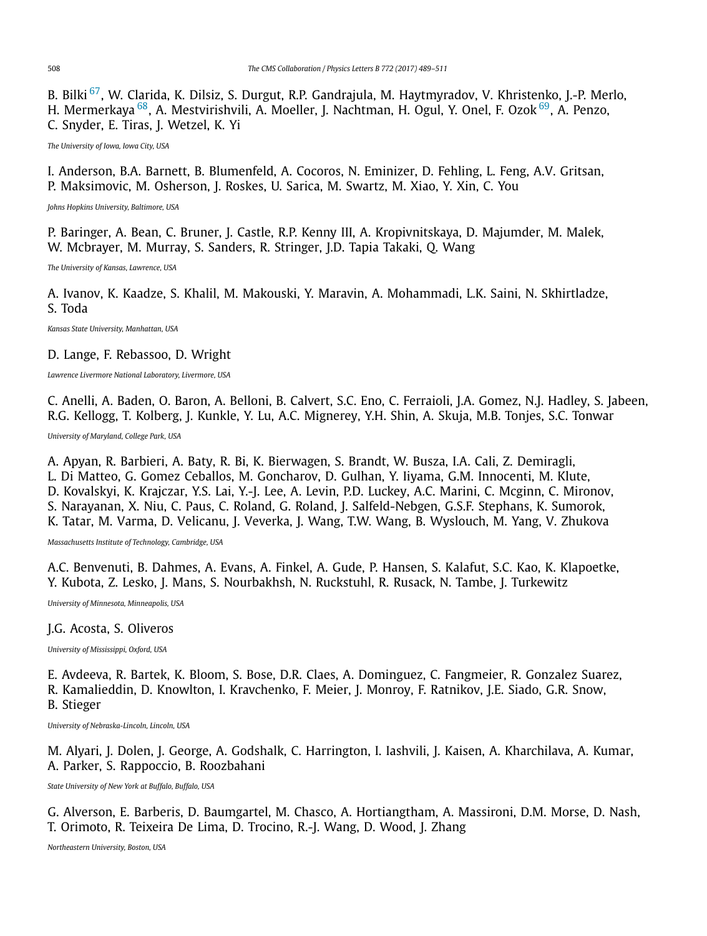B. Bilki [67,](#page-22-0) W. Clarida, K. Dilsiz, S. Durgut, R.P. Gandrajula, M. Haytmyradov, V. Khristenko, J.-P. Merlo, H. Mermerkaya [68,](#page-22-0) A. Mestvirishvili, A. Moeller, J. Nachtman, H. Ogul, Y. Onel, F. Ozok [69,](#page-22-0) A. Penzo, C. Snyder, E. Tiras, J. Wetzel, K. Yi

*The University of Iowa, Iowa City, USA*

I. Anderson, B.A. Barnett, B. Blumenfeld, A. Cocoros, N. Eminizer, D. Fehling, L. Feng, A.V. Gritsan, P. Maksimovic, M. Osherson, J. Roskes, U. Sarica, M. Swartz, M. Xiao, Y. Xin, C. You

*Johns Hopkins University, Baltimore, USA*

P. Baringer, A. Bean, C. Bruner, J. Castle, R.P. Kenny III, A. Kropivnitskaya, D. Majumder, M. Malek, W. Mcbrayer, M. Murray, S. Sanders, R. Stringer, J.D. Tapia Takaki, Q. Wang

*The University of Kansas, Lawrence, USA*

A. Ivanov, K. Kaadze, S. Khalil, M. Makouski, Y. Maravin, A. Mohammadi, L.K. Saini, N. Skhirtladze, S. Toda

*Kansas State University, Manhattan, USA*

# D. Lange, F. Rebassoo, D. Wright

*Lawrence Livermore National Laboratory, Livermore, USA*

C. Anelli, A. Baden, O. Baron, A. Belloni, B. Calvert, S.C. Eno, C. Ferraioli, J.A. Gomez, N.J. Hadley, S. Jabeen, R.G. Kellogg, T. Kolberg, J. Kunkle, Y. Lu, A.C. Mignerey, Y.H. Shin, A. Skuja, M.B. Tonjes, S.C. Tonwar

*University of Maryland, College Park, USA*

A. Apyan, R. Barbieri, A. Baty, R. Bi, K. Bierwagen, S. Brandt, W. Busza, I.A. Cali, Z. Demiragli, L. Di Matteo, G. Gomez Ceballos, M. Goncharov, D. Gulhan, Y. Iiyama, G.M. Innocenti, M. Klute, D. Kovalskyi, K. Krajczar, Y.S. Lai, Y.-J. Lee, A. Levin, P.D. Luckey, A.C. Marini, C. Mcginn, C. Mironov, S. Narayanan, X. Niu, C. Paus, C. Roland, G. Roland, J. Salfeld-Nebgen, G.S.F. Stephans, K. Sumorok, K. Tatar, M. Varma, D. Velicanu, J. Veverka, J. Wang, T.W. Wang, B. Wyslouch, M. Yang, V. Zhukova

*Massachusetts Institute of Technology, Cambridge, USA*

A.C. Benvenuti, B. Dahmes, A. Evans, A. Finkel, A. Gude, P. Hansen, S. Kalafut, S.C. Kao, K. Klapoetke, Y. Kubota, Z. Lesko, J. Mans, S. Nourbakhsh, N. Ruckstuhl, R. Rusack, N. Tambe, J. Turkewitz

*University of Minnesota, Minneapolis, USA*

J.G. Acosta, S. Oliveros

*University of Mississippi, Oxford, USA*

E. Avdeeva, R. Bartek, K. Bloom, S. Bose, D.R. Claes, A. Dominguez, C. Fangmeier, R. Gonzalez Suarez, R. Kamalieddin, D. Knowlton, I. Kravchenko, F. Meier, J. Monroy, F. Ratnikov, J.E. Siado, G.R. Snow, B. Stieger

*University of Nebraska-Lincoln, Lincoln, USA*

M. Alyari, J. Dolen, J. George, A. Godshalk, C. Harrington, I. Iashvili, J. Kaisen, A. Kharchilava, A. Kumar, A. Parker, S. Rappoccio, B. Roozbahani

*State University of New York at Buffalo, Buffalo, USA*

G. Alverson, E. Barberis, D. Baumgartel, M. Chasco, A. Hortiangtham, A. Massironi, D.M. Morse, D. Nash, T. Orimoto, R. Teixeira De Lima, D. Trocino, R.-J. Wang, D. Wood, J. Zhang

*Northeastern University, Boston, USA*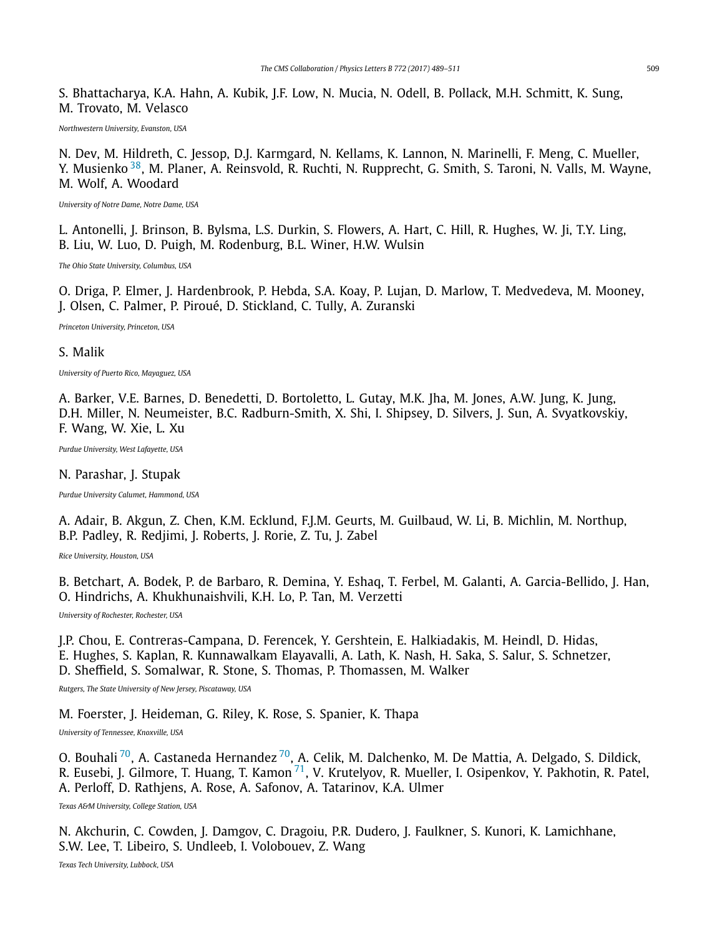S. Bhattacharya, K.A. Hahn, A. Kubik, J.F. Low, N. Mucia, N. Odell, B. Pollack, M.H. Schmitt, K. Sung, M. Trovato, M. Velasco

*Northwestern University, Evanston, USA*

N. Dev, M. Hildreth, C. Jessop, D.J. Karmgard, N. Kellams, K. Lannon, N. Marinelli, F. Meng, C. Mueller, Y. Musienko [38,](#page-21-0) M. Planer, A. Reinsvold, R. Ruchti, N. Rupprecht, G. Smith, S. Taroni, N. Valls, M. Wayne, M. Wolf, A. Woodard

*University of Notre Dame, Notre Dame, USA*

L. Antonelli, J. Brinson, B. Bylsma, L.S. Durkin, S. Flowers, A. Hart, C. Hill, R. Hughes, W. Ji, T.Y. Ling, B. Liu, W. Luo, D. Puigh, M. Rodenburg, B.L. Winer, H.W. Wulsin

*The Ohio State University, Columbus, USA*

O. Driga, P. Elmer, J. Hardenbrook, P. Hebda, S.A. Koay, P. Lujan, D. Marlow, T. Medvedeva, M. Mooney, J. Olsen, C. Palmer, P. Piroué, D. Stickland, C. Tully, A. Zuranski

*Princeton University, Princeton, USA*

### S. Malik

*University of Puerto Rico, Mayaguez, USA*

A. Barker, V.E. Barnes, D. Benedetti, D. Bortoletto, L. Gutay, M.K. Jha, M. Jones, A.W. Jung, K. Jung, D.H. Miller, N. Neumeister, B.C. Radburn-Smith, X. Shi, I. Shipsey, D. Silvers, J. Sun, A. Svyatkovskiy, F. Wang, W. Xie, L. Xu

*Purdue University, West Lafayette, USA*

### N. Parashar, J. Stupak

*Purdue University Calumet, Hammond, USA*

A. Adair, B. Akgun, Z. Chen, K.M. Ecklund, F.J.M. Geurts, M. Guilbaud, W. Li, B. Michlin, M. Northup, B.P. Padley, R. Redjimi, J. Roberts, J. Rorie, Z. Tu, J. Zabel

*Rice University, Houston, USA*

B. Betchart, A. Bodek, P. de Barbaro, R. Demina, Y. Eshaq, T. Ferbel, M. Galanti, A. Garcia-Bellido, J. Han, O. Hindrichs, A. Khukhunaishvili, K.H. Lo, P. Tan, M. Verzetti

*University of Rochester, Rochester, USA*

J.P. Chou, E. Contreras-Campana, D. Ferencek, Y. Gershtein, E. Halkiadakis, M. Heindl, D. Hidas, E. Hughes, S. Kaplan, R. Kunnawalkam Elayavalli, A. Lath, K. Nash, H. Saka, S. Salur, S. Schnetzer, D. Sheffield, S. Somalwar, R. Stone, S. Thomas, P. Thomassen, M. Walker

*Rutgers, The State University of New Jersey, Piscataway, USA*

M. Foerster, J. Heideman, G. Riley, K. Rose, S. Spanier, K. Thapa

*University of Tennessee, Knoxville, USA*

O. Bouhali<sup>[70](#page-22-0)</sup>, A. Castaneda Hernandez<sup>70</sup>, A. Celik, M. Dalchenko, M. De Mattia, A. Delgado, S. Dildick, R. Eusebi, J. Gilmore, T. Huang, T. Kamon<sup>71</sup>, V. Krutelyov, R. Mueller, I. Osipenkov, Y. Pakhotin, R. Patel, A. Perloff, D. Rathjens, A. Rose, A. Safonov, A. Tatarinov, K.A. Ulmer

*Texas A&M University, College Station, USA*

N. Akchurin, C. Cowden, J. Damgov, C. Dragoiu, P.R. Dudero, J. Faulkner, S. Kunori, K. Lamichhane, S.W. Lee, T. Libeiro, S. Undleeb, I. Volobouev, Z. Wang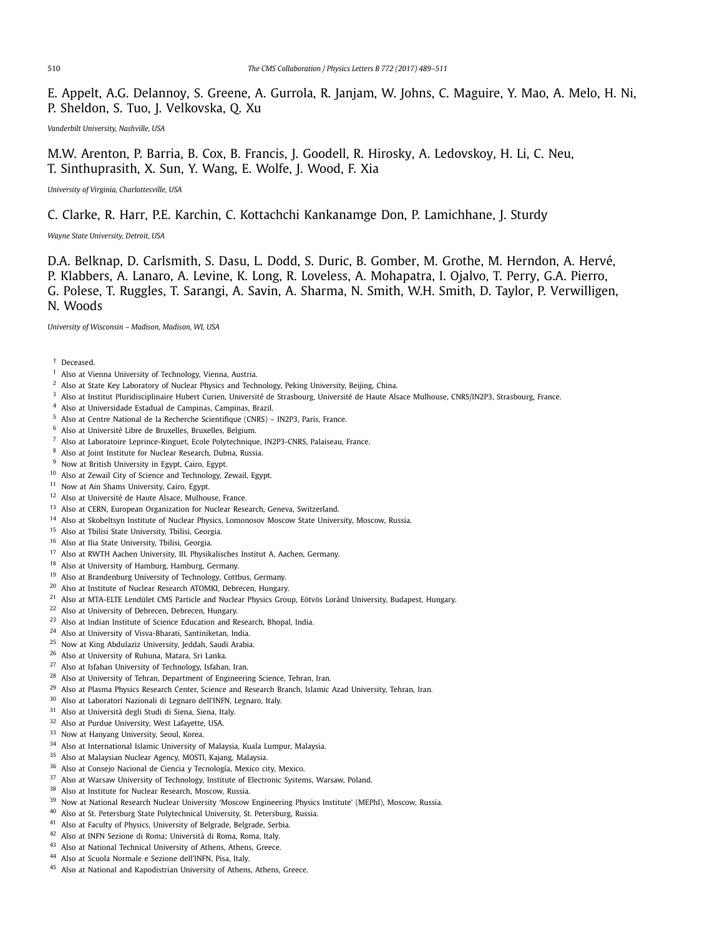<span id="page-21-0"></span>E. Appelt, A.G. Delannoy, S. Greene, A. Gurrola, R. Janjam, W. Johns, C. Maguire, Y. Mao, A. Melo, H. Ni, P. Sheldon, S. Tuo, J. Velkovska, Q. Xu

*Vanderbilt University, Nashville, USA*

M.W. Arenton, P. Barria, B. Cox, B. Francis, J. Goodell, R. Hirosky, A. Ledovskoy, H. Li, C. Neu, T. Sinthuprasith, X. Sun, Y. Wang, E. Wolfe, J. Wood, F. Xia

*University of Virginia, Charlottesville, USA*

# C. Clarke, R. Harr, P.E. Karchin, C. Kottachchi Kankanamge Don, P. Lamichhane, J. Sturdy

*Wayne State University, Detroit, USA*

D.A. Belknap, D. Carlsmith, S. Dasu, L. Dodd, S. Duric, B. Gomber, M. Grothe, M. Herndon, A. Hervé, P. Klabbers, A. Lanaro, A. Levine, K. Long, R. Loveless, A. Mohapatra, I. Ojalvo, T. Perry, G.A. Pierro, G. Polese, T. Ruggles, T. Sarangi, A. Savin, A. Sharma, N. Smith, W.H. Smith, D. Taylor, P. Verwilligen, N. Woods

*University of Wisconsin – Madison, Madison, WI, USA*

† Deceased.

- Also at Vienna University of Technology, Vienna, Austria.
- <sup>2</sup> Also at State Key Laboratory of Nuclear Physics and Technology, Peking University, Beijing, China.
- Also at Institut Pluridisciplinaire Hubert Curien, Université de Strasbourg, Université de Haute Alsace Mulhouse, CNRS/IN2P3, Strasbourg, France.
- Also at Universidade Estadual de Campinas, Campinas, Brazil.
- Also at Centre National de la Recherche Scientifique (CNRS) IN2P3, Paris, France.
- Also at Université Libre de Bruxelles, Bruxelles, Belgium.
- Also at Laboratoire Leprince-Ringuet, Ecole Polytechnique, IN2P3-CNRS, Palaiseau, France.
- Also at Joint Institute for Nuclear Research, Dubna, Russia.
- Now at British University in Egypt, Cairo, Egypt.
- Also at Zewail City of Science and Technology, Zewail, Egypt.
- 11 Now at Ain Shams University, Cairo, Egypt.
- Also at Université de Haute Alsace, Mulhouse, France.
- Also at CERN, European Organization for Nuclear Research, Geneva, Switzerland.
- Also at Skobeltsyn Institute of Nuclear Physics, Lomonosov Moscow State University, Moscow, Russia.
- Also at Tbilisi State University, Tbilisi, Georgia.
- Also at Ilia State University, Tbilisi, Georgia.
- Also at RWTH Aachen University, III. Physikalisches Institut A, Aachen, Germany.
- Also at University of Hamburg, Hamburg, Germany.
- Also at Brandenburg University of Technology, Cottbus, Germany.
- Also at Institute of Nuclear Research ATOMKI, Debrecen, Hungary.
- <sup>21</sup> Also at MTA-ELTE Lendület CMS Particle and Nuclear Physics Group, Eötvös Loránd University, Budapest, Hungary.
- Also at University of Debrecen, Debrecen, Hungary.
- Also at Indian Institute of Science Education and Research, Bhopal, India.
- Also at University of Visva-Bharati, Santiniketan, India.
- Now at King Abdulaziz University, Jeddah, Saudi Arabia.
- Also at University of Ruhuna, Matara, Sri Lanka.
- Also at Isfahan University of Technology, Isfahan, Iran.
- <sup>28</sup> Also at University of Tehran, Department of Engineering Science, Tehran, Iran.
- <sup>29</sup> Also at Plasma Physics Research Center, Science and Research Branch, Islamic Azad University, Tehran, Iran.
- Also at Laboratori Nazionali di Legnaro dell'INFN, Legnaro, Italy.
- Also at Università degli Studi di Siena, Siena, Italy.
- Also at Purdue University, West Lafayette, USA.
- Now at Hanyang University, Seoul, Korea.
- <sup>34</sup> Also at International Islamic University of Malaysia, Kuala Lumpur, Malaysia.
- Also at Malaysian Nuclear Agency, MOSTI, Kajang, Malaysia.
- Also at Consejo Nacional de Ciencia y Tecnología, Mexico city, Mexico.
- <sup>37</sup> Also at Warsaw University of Technology, Institute of Electronic Systems, Warsaw, Poland.
- Also at Institute for Nuclear Research, Moscow, Russia.
- <sup>39</sup> Now at National Research Nuclear University 'Moscow Engineering Physics Institute' (MEPhI), Moscow, Russia.
- 40 Also at St. Petersburg State Polytechnical University, St. Petersburg, Russia.
- Also at Faculty of Physics, University of Belgrade, Belgrade, Serbia.
- Also at INFN Sezione di Roma; Università di Roma, Roma, Italy.
- Also at National Technical University of Athens, Athens, Greece.
- Also at Scuola Normale e Sezione dell'INFN, Pisa, Italy.
- Also at National and Kapodistrian University of Athens, Athens, Greece.